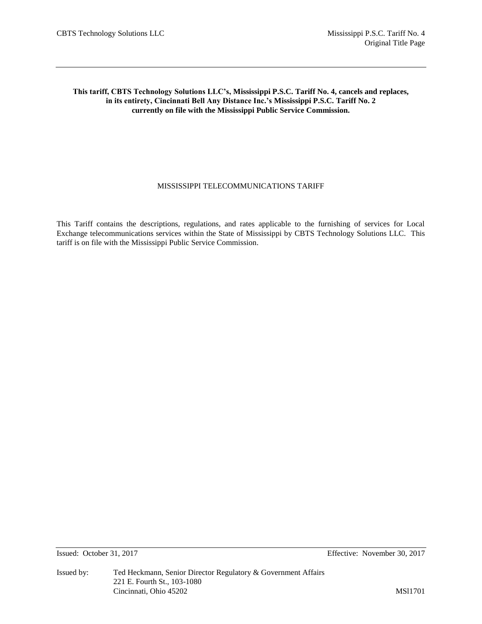# **This tariff, CBTS Technology Solutions LLC's, Mississippi P.S.C. Tariff No. 4, cancels and replaces, in its entirety, Cincinnati Bell Any Distance Inc.'s Mississippi P.S.C. Tariff No. 2 currently on file with the Mississippi Public Service Commission.**

# MISSISSIPPI TELECOMMUNICATIONS TARIFF

This Tariff contains the descriptions, regulations, and rates applicable to the furnishing of services for Local Exchange telecommunications services within the State of Mississippi by CBTS Technology Solutions LLC. This tariff is on file with the Mississippi Public Service Commission.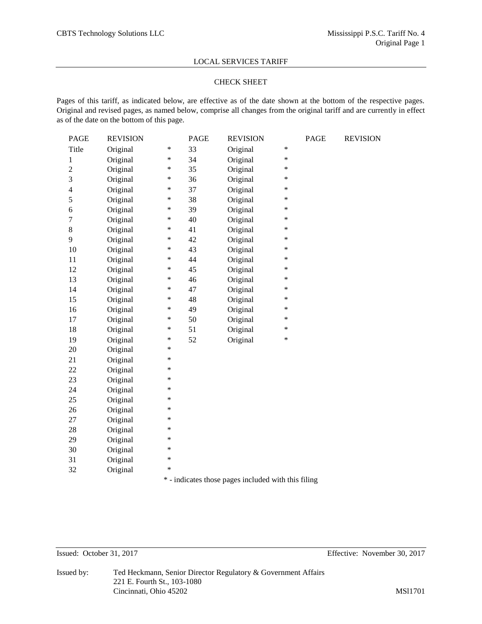## CHECK SHEET

Pages of this tariff, as indicated below, are effective as of the date shown at the bottom of the respective pages. Original and revised pages, as named below, comprise all changes from the original tariff and are currently in effect as of the date on the bottom of this page.

| PAGE           | <b>REVISION</b> |        | PAGE | <b>REVISION</b> |                     | PAGE | <b>REVISION</b> |
|----------------|-----------------|--------|------|-----------------|---------------------|------|-----------------|
| Title          | Original        | $\ast$ | 33   | Original        | *                   |      |                 |
| $\mathbf{1}$   | Original        | $\ast$ | 34   | Original        | *                   |      |                 |
| $\overline{2}$ | Original        | $\ast$ | 35   | Original        | *                   |      |                 |
| 3              | Original        | ∗      | 36   | Original        | *                   |      |                 |
| 4              | Original        | $\ast$ | 37   | Original        | $\ast$              |      |                 |
| 5              | Original        | $\ast$ | 38   | Original        | $\ast$              |      |                 |
| 6              | Original        | $\ast$ | 39   | Original        | $\ast$              |      |                 |
| 7              | Original        | $\ast$ | 40   | Original        | $\ast$              |      |                 |
| $8\,$          | Original        | $\ast$ | 41   | Original        | *                   |      |                 |
| 9              | Original        | $\ast$ | 42   | Original        | *                   |      |                 |
| 10             | Original        | $\ast$ | 43   | Original        | *                   |      |                 |
| 11             | Original        | $\ast$ | 44   | Original        | *                   |      |                 |
| 12             | Original        | $\ast$ | 45   | Original        | *                   |      |                 |
| 13             | Original        | $\ast$ | 46   | Original        | $\ast$              |      |                 |
| 14             | Original        | ∗      | 47   | Original        | $\ast$              |      |                 |
| 15             | Original        | ∗      | 48   | Original        | $\ast$              |      |                 |
| 16             | Original        | ∗      | 49   | Original        | $\ast$              |      |                 |
| 17             | Original        | $\ast$ | 50   | Original        | *                   |      |                 |
| 18             | Original        | $\ast$ | 51   | Original        | *                   |      |                 |
| 19             | Original        | $\ast$ | 52   | Original        | *                   |      |                 |
| 20             | Original        | $\ast$ |      |                 |                     |      |                 |
| 21             | Original        | $\ast$ |      |                 |                     |      |                 |
| 22             | Original        | $\ast$ |      |                 |                     |      |                 |
| 23             | Original        | $\ast$ |      |                 |                     |      |                 |
| 24             | Original        | $\ast$ |      |                 |                     |      |                 |
| 25             | Original        | *      |      |                 |                     |      |                 |
| 26             | Original        | $\ast$ |      |                 |                     |      |                 |
| $27\,$         | Original        | $\ast$ |      |                 |                     |      |                 |
| $28\,$         | Original        | $\ast$ |      |                 |                     |      |                 |
| 29             | Original        | $\ast$ |      |                 |                     |      |                 |
| 30             | Original        | $\ast$ |      |                 |                     |      |                 |
| 31             | Original        | *      |      |                 |                     |      |                 |
| 32             | Original        | *      |      |                 |                     |      |                 |
|                |                 |        |      |                 | $\bullet$ $\bullet$ |      |                 |

\* - indicates those pages included with this filing

Issued: October 31, 2017 Effective: November 30, 2017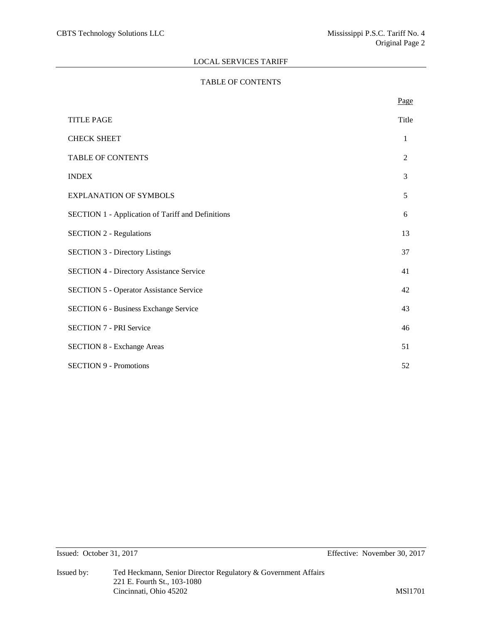# TABLE OF CONTENTS

|                                                          | Page  |
|----------------------------------------------------------|-------|
| <b>TITLE PAGE</b>                                        | Title |
| <b>CHECK SHEET</b>                                       | 1     |
| <b>TABLE OF CONTENTS</b>                                 | 2     |
| <b>INDEX</b>                                             | 3     |
| <b>EXPLANATION OF SYMBOLS</b>                            | 5     |
| <b>SECTION 1 - Application of Tariff and Definitions</b> | 6     |
| <b>SECTION 2 - Regulations</b>                           | 13    |
| <b>SECTION 3 - Directory Listings</b>                    | 37    |
| <b>SECTION 4 - Directory Assistance Service</b>          | 41    |
| <b>SECTION 5 - Operator Assistance Service</b>           | 42    |
| <b>SECTION 6 - Business Exchange Service</b>             | 43    |
| <b>SECTION 7 - PRI Service</b>                           | 46    |
| <b>SECTION 8 - Exchange Areas</b>                        | 51    |
| <b>SECTION 9 - Promotions</b>                            | 52    |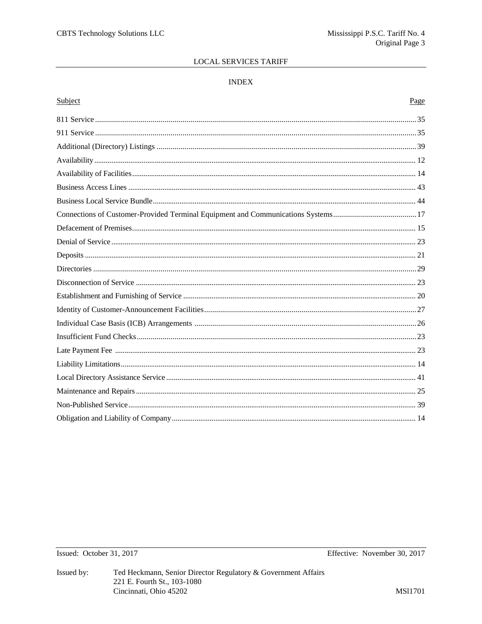# $\ensuremath{\mathsf{INDEX}}$

# Subject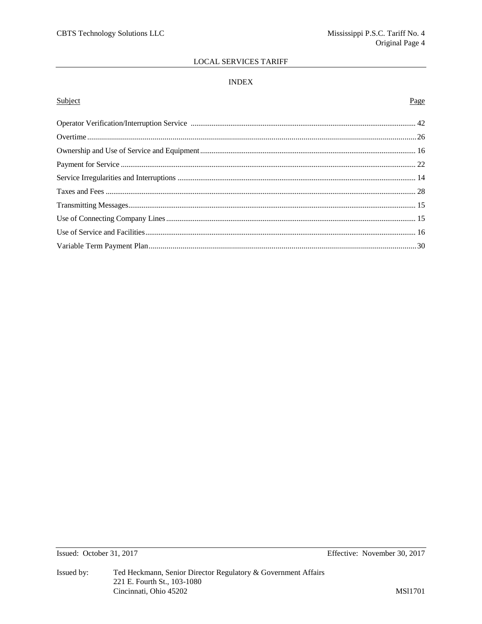# $\ensuremath{\mathsf{INDEX}}$

# Subject

# Page

Issued: October 31, 2017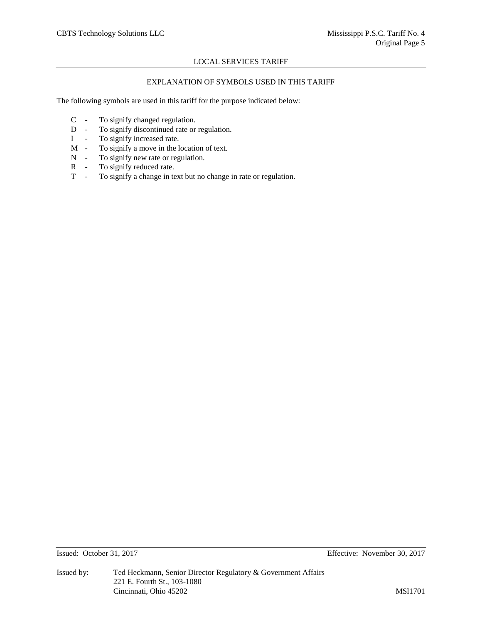## EXPLANATION OF SYMBOLS USED IN THIS TARIFF

The following symbols are used in this tariff for the purpose indicated below:

- C To signify changed regulation.
- D To signify discontinued rate or regulation.
- I To signify increased rate.
- M To signify a move in the location of text.
- N To signify new rate or regulation.
- R To signify reduced rate.
- T To signify a change in text but no change in rate or regulation.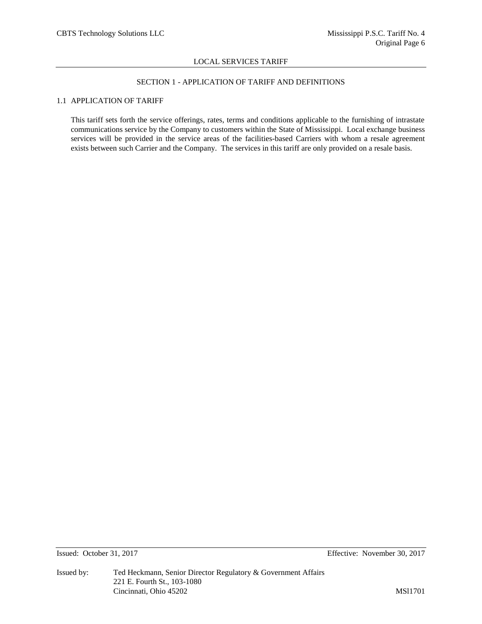# SECTION 1 - APPLICATION OF TARIFF AND DEFINITIONS

# 1.1 APPLICATION OF TARIFF

This tariff sets forth the service offerings, rates, terms and conditions applicable to the furnishing of intrastate communications service by the Company to customers within the State of Mississippi. Local exchange business services will be provided in the service areas of the facilities-based Carriers with whom a resale agreement exists between such Carrier and the Company. The services in this tariff are only provided on a resale basis.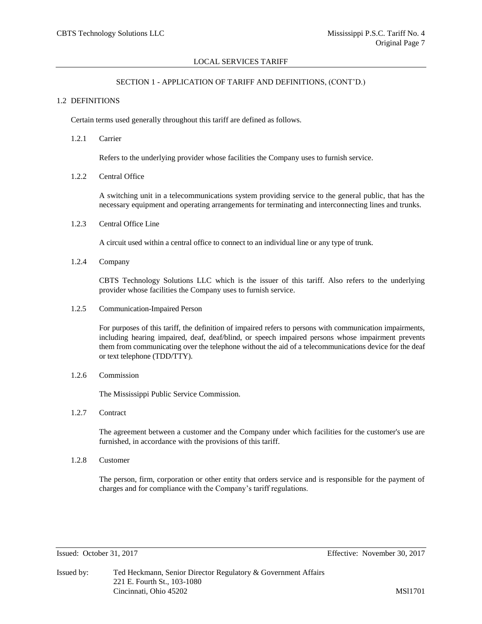## SECTION 1 - APPLICATION OF TARIFF AND DEFINITIONS, (CONT'D.)

#### 1.2 DEFINITIONS

Certain terms used generally throughout this tariff are defined as follows.

1.2.1 Carrier

Refers to the underlying provider whose facilities the Company uses to furnish service.

1.2.2 Central Office

A switching unit in a telecommunications system providing service to the general public, that has the necessary equipment and operating arrangements for terminating and interconnecting lines and trunks.

1.2.3 Central Office Line

A circuit used within a central office to connect to an individual line or any type of trunk.

1.2.4 Company

CBTS Technology Solutions LLC which is the issuer of this tariff. Also refers to the underlying provider whose facilities the Company uses to furnish service.

1.2.5 Communication-Impaired Person

For purposes of this tariff, the definition of impaired refers to persons with communication impairments, including hearing impaired, deaf, deaf/blind, or speech impaired persons whose impairment prevents them from communicating over the telephone without the aid of a telecommunications device for the deaf or text telephone (TDD/TTY).

1.2.6 Commission

The Mississippi Public Service Commission.

1.2.7 Contract

The agreement between a customer and the Company under which facilities for the customer's use are furnished, in accordance with the provisions of this tariff.

1.2.8 Customer

The person, firm, corporation or other entity that orders service and is responsible for the payment of charges and for compliance with the Company's tariff regulations.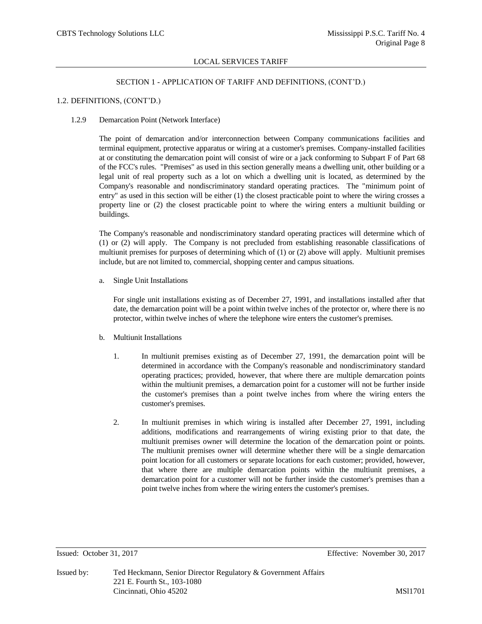### SECTION 1 - APPLICATION OF TARIFF AND DEFINITIONS, (CONT'D.)

#### 1.2. DEFINITIONS, (CONT'D.)

#### 1.2.9 Demarcation Point (Network Interface)

The point of demarcation and/or interconnection between Company communications facilities and terminal equipment, protective apparatus or wiring at a customer's premises. Company-installed facilities at or constituting the demarcation point will consist of wire or a jack conforming to Subpart F of Part 68 of the FCC's rules. "Premises" as used in this section generally means a dwelling unit, other building or a legal unit of real property such as a lot on which a dwelling unit is located, as determined by the Company's reasonable and nondiscriminatory standard operating practices. The "minimum point of entry" as used in this section will be either (1) the closest practicable point to where the wiring crosses a property line or (2) the closest practicable point to where the wiring enters a multiunit building or buildings.

The Company's reasonable and nondiscriminatory standard operating practices will determine which of (1) or (2) will apply. The Company is not precluded from establishing reasonable classifications of multiunit premises for purposes of determining which of (1) or (2) above will apply. Multiunit premises include, but are not limited to, commercial, shopping center and campus situations.

a. Single Unit Installations

For single unit installations existing as of December 27, 1991, and installations installed after that date, the demarcation point will be a point within twelve inches of the protector or, where there is no protector, within twelve inches of where the telephone wire enters the customer's premises.

- b. Multiunit Installations
	- 1. In multiunit premises existing as of December 27, 1991, the demarcation point will be determined in accordance with the Company's reasonable and nondiscriminatory standard operating practices; provided, however, that where there are multiple demarcation points within the multiunit premises, a demarcation point for a customer will not be further inside the customer's premises than a point twelve inches from where the wiring enters the customer's premises.
	- 2. In multiunit premises in which wiring is installed after December 27, 1991, including additions, modifications and rearrangements of wiring existing prior to that date, the multiunit premises owner will determine the location of the demarcation point or points. The multiunit premises owner will determine whether there will be a single demarcation point location for all customers or separate locations for each customer; provided, however, that where there are multiple demarcation points within the multiunit premises, a demarcation point for a customer will not be further inside the customer's premises than a point twelve inches from where the wiring enters the customer's premises.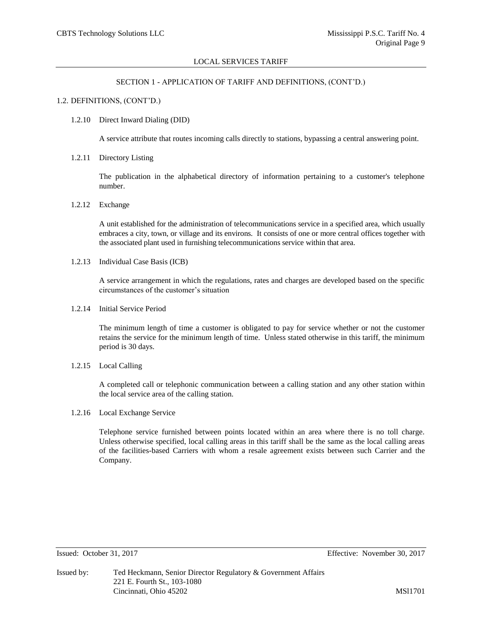## SECTION 1 - APPLICATION OF TARIFF AND DEFINITIONS, (CONT'D.)

#### 1.2. DEFINITIONS, (CONT'D.)

#### 1.2.10 Direct Inward Dialing (DID)

A service attribute that routes incoming calls directly to stations, bypassing a central answering point.

1.2.11 Directory Listing

The publication in the alphabetical directory of information pertaining to a customer's telephone number.

1.2.12 Exchange

A unit established for the administration of telecommunications service in a specified area, which usually embraces a city, town, or village and its environs. It consists of one or more central offices together with the associated plant used in furnishing telecommunications service within that area.

1.2.13 Individual Case Basis (ICB)

A service arrangement in which the regulations, rates and charges are developed based on the specific circumstances of the customer's situation

1.2.14 Initial Service Period

The minimum length of time a customer is obligated to pay for service whether or not the customer retains the service for the minimum length of time. Unless stated otherwise in this tariff, the minimum period is 30 days.

1.2.15 Local Calling

A completed call or telephonic communication between a calling station and any other station within the local service area of the calling station.

1.2.16 Local Exchange Service

Telephone service furnished between points located within an area where there is no toll charge. Unless otherwise specified, local calling areas in this tariff shall be the same as the local calling areas of the facilities-based Carriers with whom a resale agreement exists between such Carrier and the Company.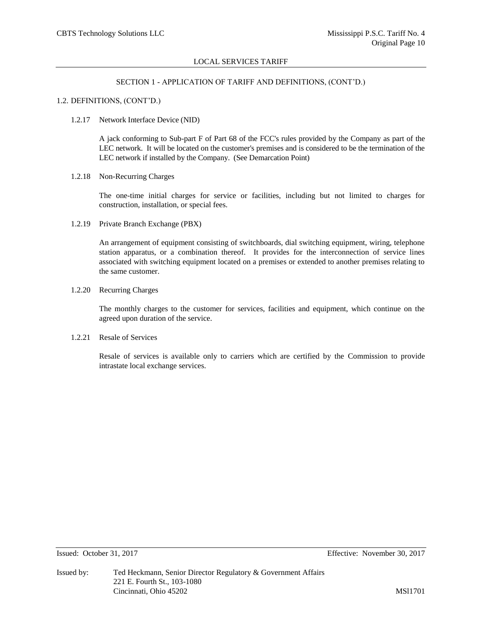### SECTION 1 - APPLICATION OF TARIFF AND DEFINITIONS, (CONT'D.)

#### 1.2. DEFINITIONS, (CONT'D.)

#### 1.2.17 Network Interface Device (NID)

A jack conforming to Sub-part F of Part 68 of the FCC's rules provided by the Company as part of the LEC network. It will be located on the customer's premises and is considered to be the termination of the LEC network if installed by the Company. (See Demarcation Point)

#### 1.2.18 Non-Recurring Charges

The one-time initial charges for service or facilities, including but not limited to charges for construction, installation, or special fees.

1.2.19 Private Branch Exchange (PBX)

An arrangement of equipment consisting of switchboards, dial switching equipment, wiring, telephone station apparatus, or a combination thereof. It provides for the interconnection of service lines associated with switching equipment located on a premises or extended to another premises relating to the same customer.

# 1.2.20 Recurring Charges

The monthly charges to the customer for services, facilities and equipment, which continue on the agreed upon duration of the service.

#### 1.2.21 Resale of Services

Resale of services is available only to carriers which are certified by the Commission to provide intrastate local exchange services.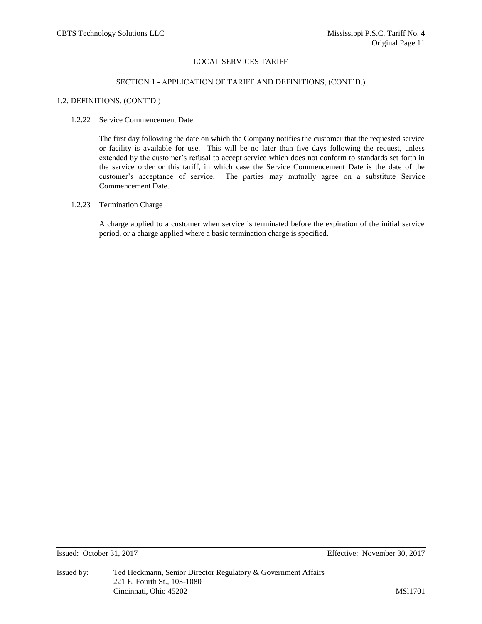## SECTION 1 - APPLICATION OF TARIFF AND DEFINITIONS, (CONT'D.)

#### 1.2. DEFINITIONS, (CONT'D.)

#### 1.2.22 Service Commencement Date

The first day following the date on which the Company notifies the customer that the requested service or facility is available for use. This will be no later than five days following the request, unless extended by the customer's refusal to accept service which does not conform to standards set forth in the service order or this tariff, in which case the Service Commencement Date is the date of the customer's acceptance of service. The parties may mutually agree on a substitute Service Commencement Date.

## 1.2.23 Termination Charge

A charge applied to a customer when service is terminated before the expiration of the initial service period, or a charge applied where a basic termination charge is specified.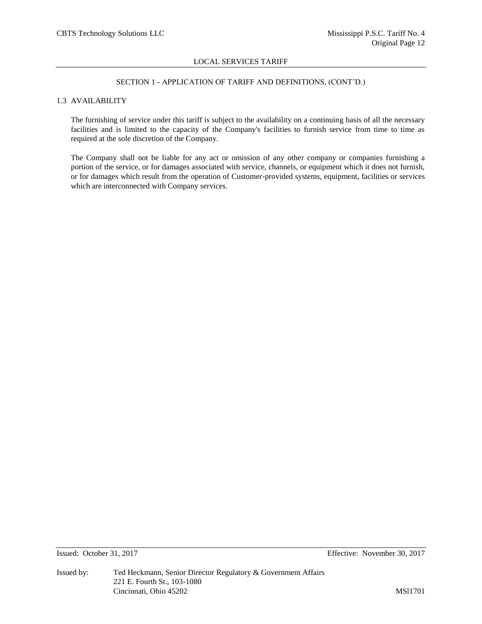## SECTION 1 - APPLICATION OF TARIFF AND DEFINITIONS, (CONT'D.)

# 1.3 AVAILABILITY

The furnishing of service under this tariff is subject to the availability on a continuing basis of all the necessary facilities and is limited to the capacity of the Company's facilities to furnish service from time to time as required at the sole discretion of the Company.

The Company shall not be liable for any act or omission of any other company or companies furnishing a portion of the service, or for damages associated with service, channels, or equipment which it does not furnish, or for damages which result from the operation of Customer-provided systems, equipment, facilities or services which are interconnected with Company services.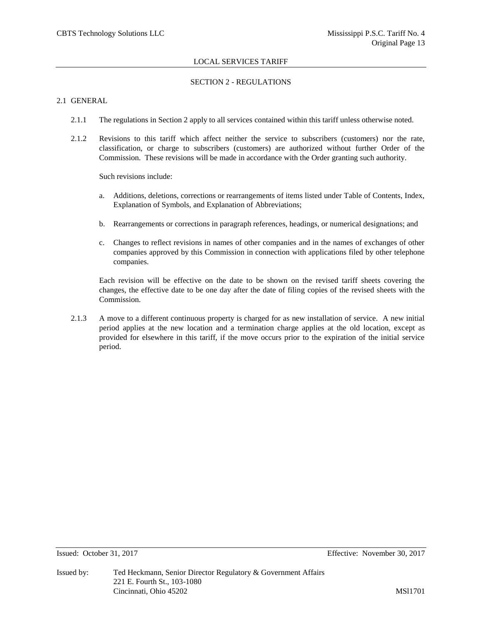## SECTION 2 - REGULATIONS

# 2.1 GENERAL

- 2.1.1 The regulations in Section 2 apply to all services contained within this tariff unless otherwise noted.
- 2.1.2 Revisions to this tariff which affect neither the service to subscribers (customers) nor the rate, classification, or charge to subscribers (customers) are authorized without further Order of the Commission. These revisions will be made in accordance with the Order granting such authority.

Such revisions include:

- a. Additions, deletions, corrections or rearrangements of items listed under Table of Contents, Index, Explanation of Symbols, and Explanation of Abbreviations;
- b. Rearrangements or corrections in paragraph references, headings, or numerical designations; and
- c. Changes to reflect revisions in names of other companies and in the names of exchanges of other companies approved by this Commission in connection with applications filed by other telephone companies.

Each revision will be effective on the date to be shown on the revised tariff sheets covering the changes, the effective date to be one day after the date of filing copies of the revised sheets with the Commission.

2.1.3 A move to a different continuous property is charged for as new installation of service. A new initial period applies at the new location and a termination charge applies at the old location, except as provided for elsewhere in this tariff, if the move occurs prior to the expiration of the initial service period.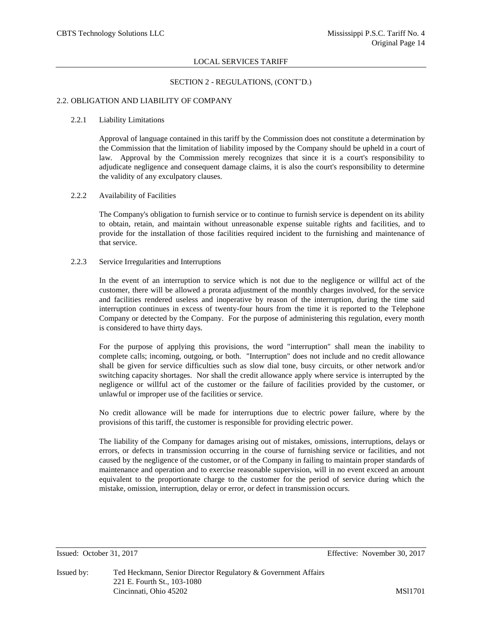#### SECTION 2 - REGULATIONS, (CONT'D.)

#### 2.2. OBLIGATION AND LIABILITY OF COMPANY

#### 2.2.1 Liability Limitations

Approval of language contained in this tariff by the Commission does not constitute a determination by the Commission that the limitation of liability imposed by the Company should be upheld in a court of law. Approval by the Commission merely recognizes that since it is a court's responsibility to adjudicate negligence and consequent damage claims, it is also the court's responsibility to determine the validity of any exculpatory clauses.

## 2.2.2 Availability of Facilities

The Company's obligation to furnish service or to continue to furnish service is dependent on its ability to obtain, retain, and maintain without unreasonable expense suitable rights and facilities, and to provide for the installation of those facilities required incident to the furnishing and maintenance of that service.

#### 2.2.3 Service Irregularities and Interruptions

In the event of an interruption to service which is not due to the negligence or willful act of the customer, there will be allowed a prorata adjustment of the monthly charges involved, for the service and facilities rendered useless and inoperative by reason of the interruption, during the time said interruption continues in excess of twenty-four hours from the time it is reported to the Telephone Company or detected by the Company. For the purpose of administering this regulation, every month is considered to have thirty days.

For the purpose of applying this provisions, the word "interruption" shall mean the inability to complete calls; incoming, outgoing, or both. "Interruption" does not include and no credit allowance shall be given for service difficulties such as slow dial tone, busy circuits, or other network and/or switching capacity shortages. Nor shall the credit allowance apply where service is interrupted by the negligence or willful act of the customer or the failure of facilities provided by the customer, or unlawful or improper use of the facilities or service.

No credit allowance will be made for interruptions due to electric power failure, where by the provisions of this tariff, the customer is responsible for providing electric power.

The liability of the Company for damages arising out of mistakes, omissions, interruptions, delays or errors, or defects in transmission occurring in the course of furnishing service or facilities, and not caused by the negligence of the customer, or of the Company in failing to maintain proper standards of maintenance and operation and to exercise reasonable supervision, will in no event exceed an amount equivalent to the proportionate charge to the customer for the period of service during which the mistake, omission, interruption, delay or error, or defect in transmission occurs.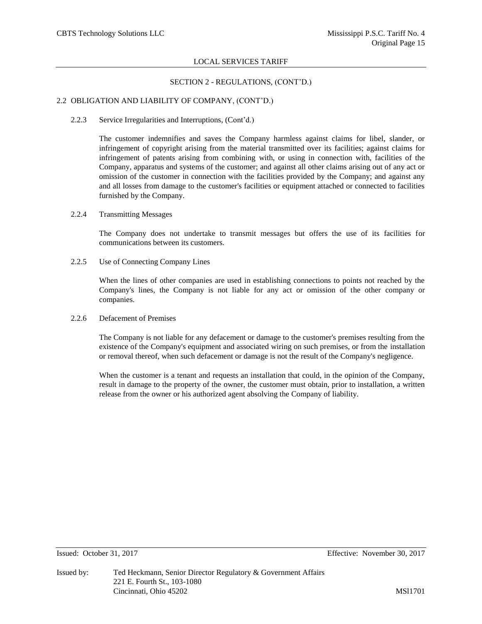#### SECTION 2 - REGULATIONS, (CONT'D.)

#### 2.2 OBLIGATION AND LIABILITY OF COMPANY, (CONT'D.)

2.2.3 Service Irregularities and Interruptions, (Cont'd.)

The customer indemnifies and saves the Company harmless against claims for libel, slander, or infringement of copyright arising from the material transmitted over its facilities; against claims for infringement of patents arising from combining with, or using in connection with, facilities of the Company, apparatus and systems of the customer; and against all other claims arising out of any act or omission of the customer in connection with the facilities provided by the Company; and against any and all losses from damage to the customer's facilities or equipment attached or connected to facilities furnished by the Company.

2.2.4 Transmitting Messages

The Company does not undertake to transmit messages but offers the use of its facilities for communications between its customers.

2.2.5 Use of Connecting Company Lines

When the lines of other companies are used in establishing connections to points not reached by the Company's lines, the Company is not liable for any act or omission of the other company or companies.

2.2.6 Defacement of Premises

The Company is not liable for any defacement or damage to the customer's premises resulting from the existence of the Company's equipment and associated wiring on such premises, or from the installation or removal thereof, when such defacement or damage is not the result of the Company's negligence.

When the customer is a tenant and requests an installation that could, in the opinion of the Company, result in damage to the property of the owner, the customer must obtain, prior to installation, a written release from the owner or his authorized agent absolving the Company of liability.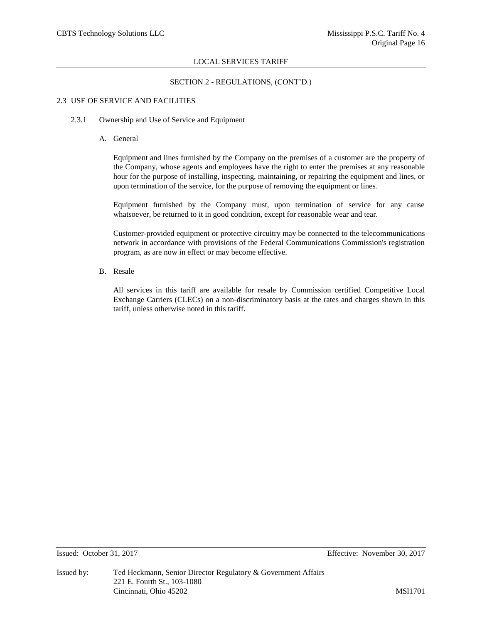## SECTION 2 - REGULATIONS, (CONT'D.)

#### 2.3 USE OF SERVICE AND FACILITIES

#### 2.3.1 Ownership and Use of Service and Equipment

A. General

Equipment and lines furnished by the Company on the premises of a customer are the property of the Company, whose agents and employees have the right to enter the premises at any reasonable hour for the purpose of installing, inspecting, maintaining, or repairing the equipment and lines, or upon termination of the service, for the purpose of removing the equipment or lines.

Equipment furnished by the Company must, upon termination of service for any cause whatsoever, be returned to it in good condition, except for reasonable wear and tear.

Customer-provided equipment or protective circuitry may be connected to the telecommunications network in accordance with provisions of the Federal Communications Commission's registration program, as are now in effect or may become effective.

B. Resale

All services in this tariff are available for resale by Commission certified Competitive Local Exchange Carriers (CLECs) on a non-discriminatory basis at the rates and charges shown in this tariff, unless otherwise noted in this tariff.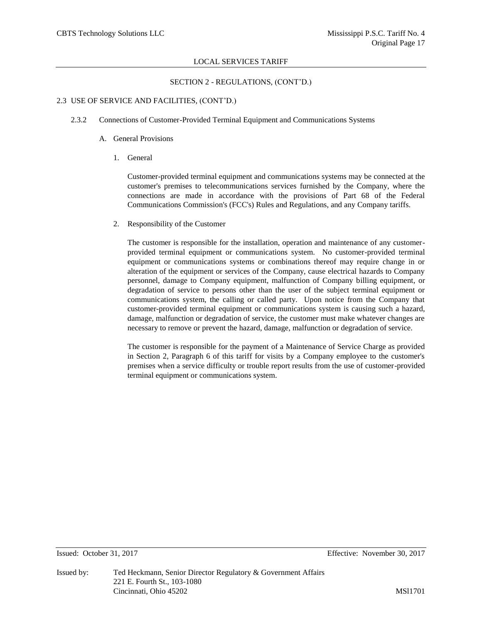### SECTION 2 - REGULATIONS, (CONT'D.)

#### 2.3 USE OF SERVICE AND FACILITIES, (CONT'D.)

- 2.3.2 Connections of Customer-Provided Terminal Equipment and Communications Systems
	- A. General Provisions
		- 1. General

Customer-provided terminal equipment and communications systems may be connected at the customer's premises to telecommunications services furnished by the Company, where the connections are made in accordance with the provisions of Part 68 of the Federal Communications Commission's (FCC's) Rules and Regulations, and any Company tariffs.

2. Responsibility of the Customer

The customer is responsible for the installation, operation and maintenance of any customerprovided terminal equipment or communications system. No customer-provided terminal equipment or communications systems or combinations thereof may require change in or alteration of the equipment or services of the Company, cause electrical hazards to Company personnel, damage to Company equipment, malfunction of Company billing equipment, or degradation of service to persons other than the user of the subject terminal equipment or communications system, the calling or called party. Upon notice from the Company that customer-provided terminal equipment or communications system is causing such a hazard, damage, malfunction or degradation of service, the customer must make whatever changes are necessary to remove or prevent the hazard, damage, malfunction or degradation of service.

The customer is responsible for the payment of a Maintenance of Service Charge as provided in Section 2, Paragraph 6 of this tariff for visits by a Company employee to the customer's premises when a service difficulty or trouble report results from the use of customer-provided terminal equipment or communications system.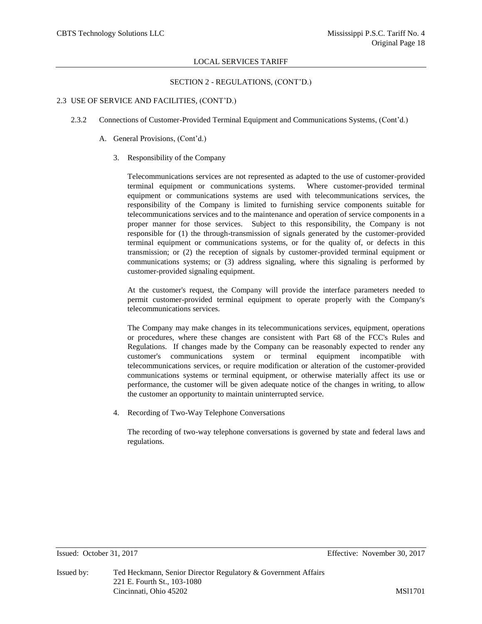#### SECTION 2 - REGULATIONS, (CONT'D.)

#### 2.3 USE OF SERVICE AND FACILITIES, (CONT'D.)

- 2.3.2 Connections of Customer-Provided Terminal Equipment and Communications Systems, (Cont'd.)
	- A. General Provisions, (Cont'd.)
		- 3. Responsibility of the Company

Telecommunications services are not represented as adapted to the use of customer-provided terminal equipment or communications systems. Where customer-provided terminal equipment or communications systems are used with telecommunications services, the responsibility of the Company is limited to furnishing service components suitable for telecommunications services and to the maintenance and operation of service components in a proper manner for those services. Subject to this responsibility, the Company is not responsible for (1) the through-transmission of signals generated by the customer-provided terminal equipment or communications systems, or for the quality of, or defects in this transmission; or (2) the reception of signals by customer-provided terminal equipment or communications systems; or (3) address signaling, where this signaling is performed by customer-provided signaling equipment.

At the customer's request, the Company will provide the interface parameters needed to permit customer-provided terminal equipment to operate properly with the Company's telecommunications services.

The Company may make changes in its telecommunications services, equipment, operations or procedures, where these changes are consistent with Part 68 of the FCC's Rules and Regulations. If changes made by the Company can be reasonably expected to render any customer's communications system or terminal equipment incompatible with telecommunications services, or require modification or alteration of the customer-provided communications systems or terminal equipment, or otherwise materially affect its use or performance, the customer will be given adequate notice of the changes in writing, to allow the customer an opportunity to maintain uninterrupted service.

4. Recording of Two-Way Telephone Conversations

The recording of two-way telephone conversations is governed by state and federal laws and regulations.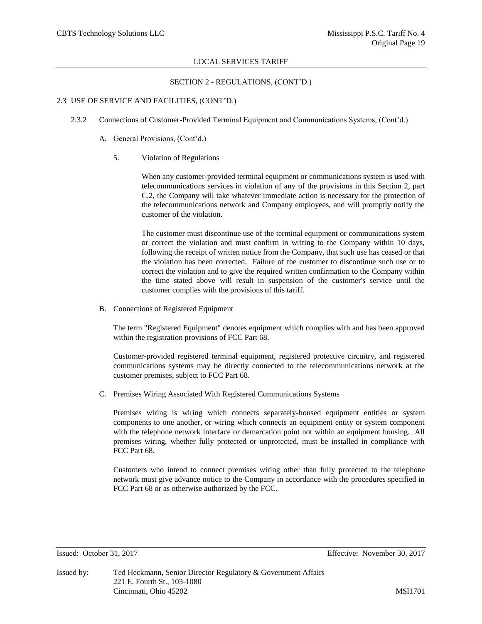### SECTION 2 - REGULATIONS, (CONT'D.)

#### 2.3 USE OF SERVICE AND FACILITIES, (CONT'D.)

- 2.3.2 Connections of Customer-Provided Terminal Equipment and Communications Systems, (Cont'd.)
	- A. General Provisions, (Cont'd.)
		- 5. Violation of Regulations

When any customer-provided terminal equipment or communications system is used with telecommunications services in violation of any of the provisions in this Section 2, part C.2, the Company will take whatever immediate action is necessary for the protection of the telecommunications network and Company employees, and will promptly notify the customer of the violation.

The customer must discontinue use of the terminal equipment or communications system or correct the violation and must confirm in writing to the Company within 10 days, following the receipt of written notice from the Company, that such use has ceased or that the violation has been corrected. Failure of the customer to discontinue such use or to correct the violation and to give the required written confirmation to the Company within the time stated above will result in suspension of the customer's service until the customer complies with the provisions of this tariff.

B. Connections of Registered Equipment

The term "Registered Equipment" denotes equipment which complies with and has been approved within the registration provisions of FCC Part 68.

Customer-provided registered terminal equipment, registered protective circuitry, and registered communications systems may be directly connected to the telecommunications network at the customer premises, subject to FCC Part 68.

C. Premises Wiring Associated With Registered Communications Systems

Premises wiring is wiring which connects separately-housed equipment entities or system components to one another, or wiring which connects an equipment entity or system component with the telephone network interface or demarcation point not within an equipment housing. All premises wiring, whether fully protected or unprotected, must be installed in compliance with FCC Part 68.

Customers who intend to connect premises wiring other than fully protected to the telephone network must give advance notice to the Company in accordance with the procedures specified in FCC Part 68 or as otherwise authorized by the FCC.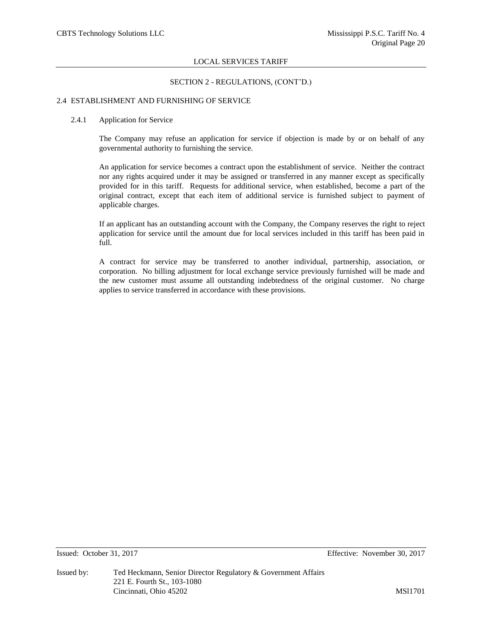### SECTION 2 - REGULATIONS, (CONT'D.)

#### 2.4 ESTABLISHMENT AND FURNISHING OF SERVICE

#### 2.4.1 Application for Service

The Company may refuse an application for service if objection is made by or on behalf of any governmental authority to furnishing the service.

An application for service becomes a contract upon the establishment of service. Neither the contract nor any rights acquired under it may be assigned or transferred in any manner except as specifically provided for in this tariff. Requests for additional service, when established, become a part of the original contract, except that each item of additional service is furnished subject to payment of applicable charges.

If an applicant has an outstanding account with the Company, the Company reserves the right to reject application for service until the amount due for local services included in this tariff has been paid in full.

A contract for service may be transferred to another individual, partnership, association, or corporation. No billing adjustment for local exchange service previously furnished will be made and the new customer must assume all outstanding indebtedness of the original customer. No charge applies to service transferred in accordance with these provisions.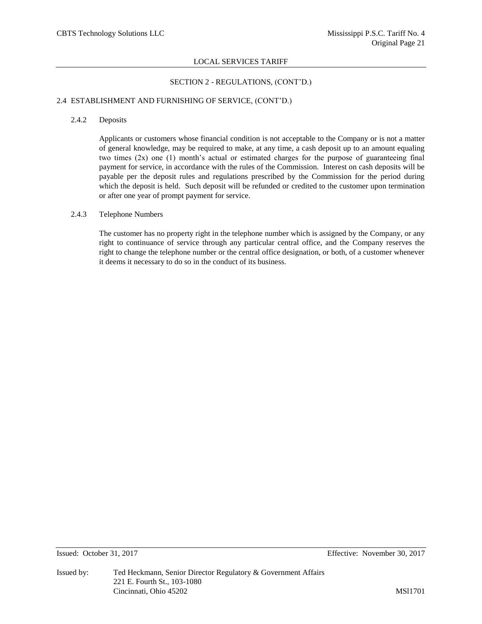#### SECTION 2 - REGULATIONS, (CONT'D.)

#### 2.4 ESTABLISHMENT AND FURNISHING OF SERVICE, (CONT'D.)

#### 2.4.2 Deposits

Applicants or customers whose financial condition is not acceptable to the Company or is not a matter of general knowledge, may be required to make, at any time, a cash deposit up to an amount equaling two times (2x) one (1) month's actual or estimated charges for the purpose of guaranteeing final payment for service, in accordance with the rules of the Commission. Interest on cash deposits will be payable per the deposit rules and regulations prescribed by the Commission for the period during which the deposit is held. Such deposit will be refunded or credited to the customer upon termination or after one year of prompt payment for service.

#### 2.4.3 Telephone Numbers

The customer has no property right in the telephone number which is assigned by the Company, or any right to continuance of service through any particular central office, and the Company reserves the right to change the telephone number or the central office designation, or both, of a customer whenever it deems it necessary to do so in the conduct of its business.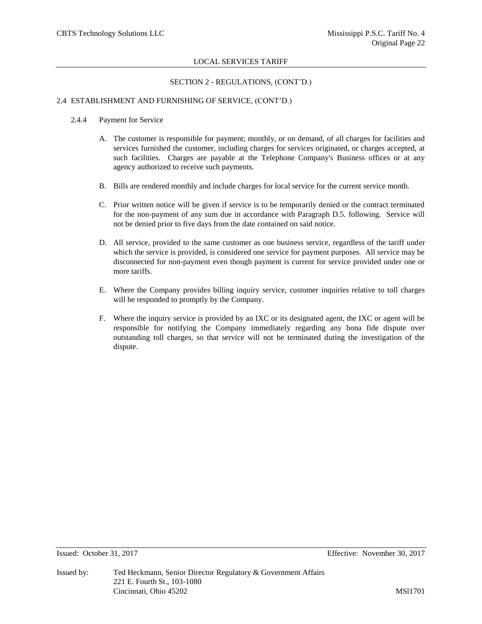## SECTION 2 - REGULATIONS, (CONT'D.)

## 2.4 ESTABLISHMENT AND FURNISHING OF SERVICE, (CONT'D.)

#### 2.4.4 Payment for Service

- A. The customer is responsible for payment; monthly, or on demand, of all charges for facilities and services furnished the customer, including charges for services originated, or charges accepted, at such facilities. Charges are payable at the Telephone Company's Business offices or at any agency authorized to receive such payments.
- B. Bills are rendered monthly and include charges for local service for the current service month.
- C. Prior written notice will be given if service is to be temporarily denied or the contract terminated for the non-payment of any sum due in accordance with Paragraph D.5. following. Service will not be denied prior to five days from the date contained on said notice.
- D. All service, provided to the same customer as one business service, regardless of the tariff under which the service is provided, is considered one service for payment purposes. All service may be disconnected for non-payment even though payment is current for service provided under one or more tariffs.
- E. Where the Company provides billing inquiry service, customer inquiries relative to toll charges will be responded to promptly by the Company.
- F. Where the inquiry service is provided by an IXC or its designated agent, the IXC or agent will be responsible for notifying the Company immediately regarding any bona fide dispute over outstanding toll charges, so that service will not be terminated during the investigation of the dispute.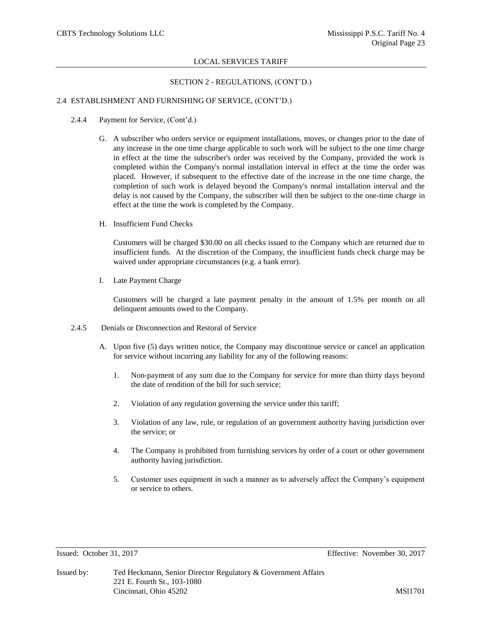#### SECTION 2 - REGULATIONS, (CONT'D.)

#### 2.4 ESTABLISHMENT AND FURNISHING OF SERVICE, (CONT'D.)

- 2.4.4 Payment for Service, (Cont'd.)
	- G. A subscriber who orders service or equipment installations, moves, or changes prior to the date of any increase in the one time charge applicable to such work will be subject to the one time charge in effect at the time the subscriber's order was received by the Company, provided the work is completed within the Company's normal installation interval in effect at the time the order was placed. However, if subsequent to the effective date of the increase in the one time charge, the completion of such work is delayed beyond the Company's normal installation interval and the delay is not caused by the Company, the subscriber will then be subject to the one-time charge in effect at the time the work is completed by the Company.
	- H. Insufficient Fund Checks

Customers will be charged \$30.00 on all checks issued to the Company which are returned due to insufficient funds. At the discretion of the Company, the insufficient funds check charge may be waived under appropriate circumstances (e.g. a bank error).

I. Late Payment Charge

Customers will be charged a late payment penalty in the amount of 1.5% per month on all delinquent amounts owed to the Company.

- 2.4.5 Denials or Disconnection and Restoral of Service
	- A. Upon five (5) days written notice, the Company may discontinue service or cancel an application for service without incurring any liability for any of the following reasons:
		- 1. Non-payment of any sum due to the Company for service for more than thirty days beyond the date of rendition of the bill for such service;
		- 2. Violation of any regulation governing the service under this tariff;
		- 3. Violation of any law, rule, or regulation of an government authority having jurisdiction over the service; or
		- 4. The Company is prohibited from furnishing services by order of a court or other government authority having jurisdiction.
		- 5. Customer uses equipment in such a manner as to adversely affect the Company's equipment or service to others.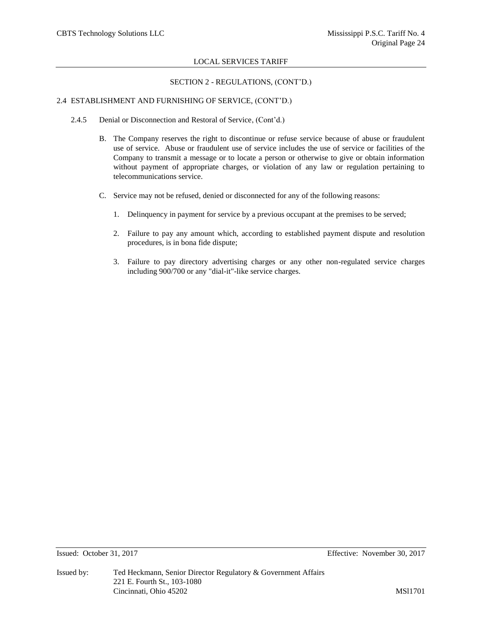# SECTION 2 - REGULATIONS, (CONT'D.)

# 2.4 ESTABLISHMENT AND FURNISHING OF SERVICE, (CONT'D.)

- 2.4.5 Denial or Disconnection and Restoral of Service, (Cont'd.)
	- B. The Company reserves the right to discontinue or refuse service because of abuse or fraudulent use of service. Abuse or fraudulent use of service includes the use of service or facilities of the Company to transmit a message or to locate a person or otherwise to give or obtain information without payment of appropriate charges, or violation of any law or regulation pertaining to telecommunications service.
	- C. Service may not be refused, denied or disconnected for any of the following reasons:
		- 1. Delinquency in payment for service by a previous occupant at the premises to be served;
		- 2. Failure to pay any amount which, according to established payment dispute and resolution procedures, is in bona fide dispute;
		- 3. Failure to pay directory advertising charges or any other non-regulated service charges including 900/700 or any "dial-it"-like service charges.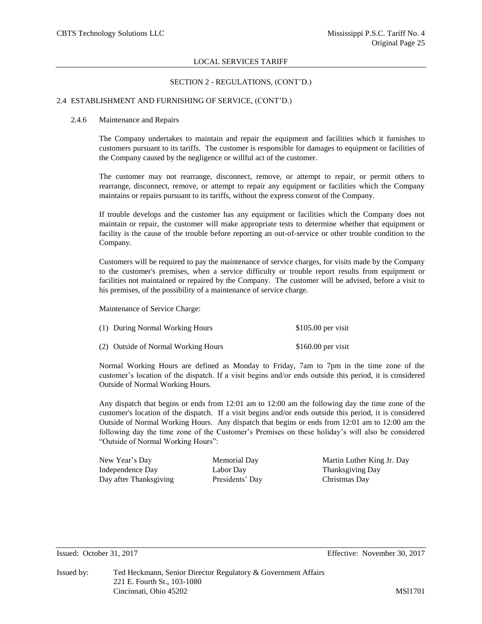#### SECTION 2 - REGULATIONS, (CONT'D.)

#### 2.4 ESTABLISHMENT AND FURNISHING OF SERVICE, (CONT'D.)

#### 2.4.6 Maintenance and Repairs

The Company undertakes to maintain and repair the equipment and facilities which it furnishes to customers pursuant to its tariffs. The customer is responsible for damages to equipment or facilities of the Company caused by the negligence or willful act of the customer.

The customer may not rearrange, disconnect, remove, or attempt to repair, or permit others to rearrange, disconnect, remove, or attempt to repair any equipment or facilities which the Company maintains or repairs pursuant to its tariffs, without the express consent of the Company.

If trouble develops and the customer has any equipment or facilities which the Company does not maintain or repair, the customer will make appropriate tests to determine whether that equipment or facility is the cause of the trouble before reporting an out-of-service or other trouble condition to the Company.

Customers will be required to pay the maintenance of service charges, for visits made by the Company to the customer's premises, when a service difficulty or trouble report results from equipment or facilities not maintained or repaired by the Company. The customer will be advised, before a visit to his premises, of the possibility of a maintenance of service charge.

Maintenance of Service Charge:

| (1) During Normal Working Hours     | $$105.00$ per visit |  |
|-------------------------------------|---------------------|--|
| (2) Outside of Normal Working Hours | $$160.00$ per visit |  |

Normal Working Hours are defined as Monday to Friday, 7am to 7pm in the time zone of the customer's location of the dispatch. If a visit begins and/or ends outside this period, it is considered Outside of Normal Working Hours.

Any dispatch that begins or ends from 12:01 am to 12:00 am the following day the time zone of the customer's location of the dispatch. If a visit begins and/or ends outside this period, it is considered Outside of Normal Working Hours. Any dispatch that begins or ends from 12:01 am to 12:00 am the following day the time zone of the Customer's Premises on these holiday's will also be considered "Outside of Normal Working Hours":

Independence Day Labor Day Thanksgiving Day Day after Thanksgiving Presidents' Day Christmas Day

New Year's Day Memorial Day Martin Luther King Jr. Day

Issued: October 31, 2017 Effective: November 30, 2017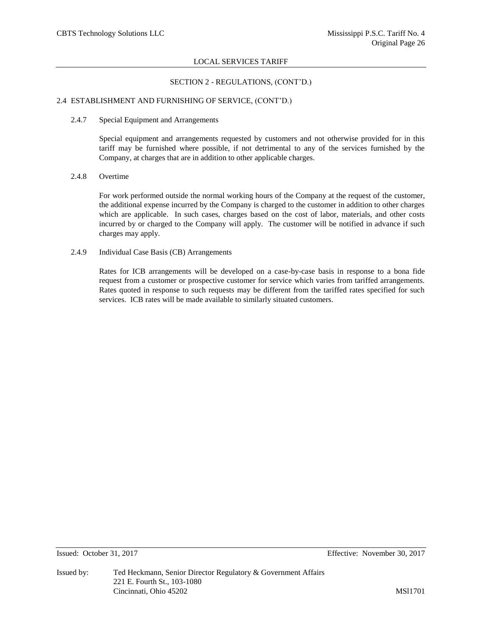## SECTION 2 - REGULATIONS, (CONT'D.)

## 2.4 ESTABLISHMENT AND FURNISHING OF SERVICE, (CONT'D.)

#### 2.4.7 Special Equipment and Arrangements

Special equipment and arrangements requested by customers and not otherwise provided for in this tariff may be furnished where possible, if not detrimental to any of the services furnished by the Company, at charges that are in addition to other applicable charges.

## 2.4.8 Overtime

For work performed outside the normal working hours of the Company at the request of the customer, the additional expense incurred by the Company is charged to the customer in addition to other charges which are applicable. In such cases, charges based on the cost of labor, materials, and other costs incurred by or charged to the Company will apply. The customer will be notified in advance if such charges may apply.

## 2.4.9 Individual Case Basis (CB) Arrangements

Rates for ICB arrangements will be developed on a case-by-case basis in response to a bona fide request from a customer or prospective customer for service which varies from tariffed arrangements. Rates quoted in response to such requests may be different from the tariffed rates specified for such services. ICB rates will be made available to similarly situated customers.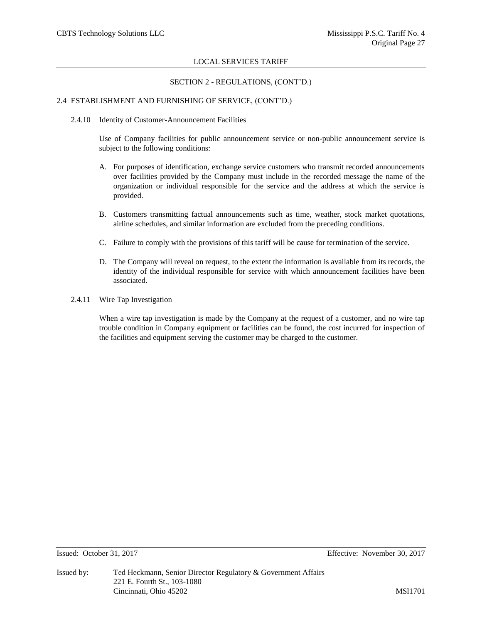## SECTION 2 - REGULATIONS, (CONT'D.)

## 2.4 ESTABLISHMENT AND FURNISHING OF SERVICE, (CONT'D.)

2.4.10 Identity of Customer-Announcement Facilities

Use of Company facilities for public announcement service or non-public announcement service is subject to the following conditions:

- A. For purposes of identification, exchange service customers who transmit recorded announcements over facilities provided by the Company must include in the recorded message the name of the organization or individual responsible for the service and the address at which the service is provided.
- B. Customers transmitting factual announcements such as time, weather, stock market quotations, airline schedules, and similar information are excluded from the preceding conditions.
- C. Failure to comply with the provisions of this tariff will be cause for termination of the service.
- D. The Company will reveal on request, to the extent the information is available from its records, the identity of the individual responsible for service with which announcement facilities have been associated.
- 2.4.11 Wire Tap Investigation

When a wire tap investigation is made by the Company at the request of a customer, and no wire tap trouble condition in Company equipment or facilities can be found, the cost incurred for inspection of the facilities and equipment serving the customer may be charged to the customer.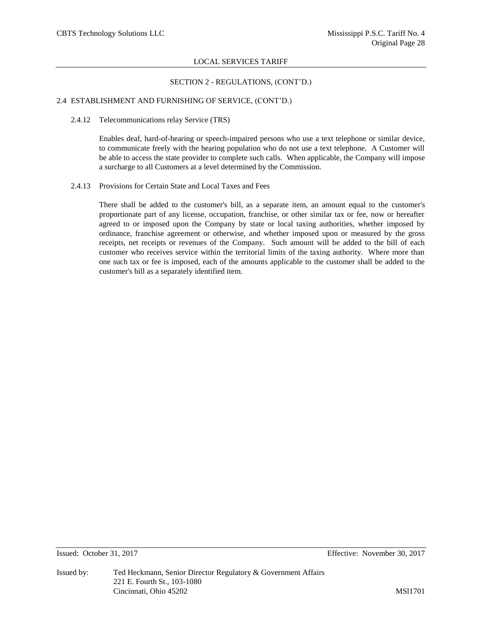#### SECTION 2 - REGULATIONS, (CONT'D.)

#### 2.4 ESTABLISHMENT AND FURNISHING OF SERVICE, (CONT'D.)

#### 2.4.12 Telecommunications relay Service (TRS)

Enables deaf, hard-of-hearing or speech-impaired persons who use a text telephone or similar device, to communicate freely with the hearing population who do not use a text telephone. A Customer will be able to access the state provider to complete such calls. When applicable, the Company will impose a surcharge to all Customers at a level determined by the Commission.

#### 2.4.13 Provisions for Certain State and Local Taxes and Fees

There shall be added to the customer's bill, as a separate item, an amount equal to the customer's proportionate part of any license, occupation, franchise, or other similar tax or fee, now or hereafter agreed to or imposed upon the Company by state or local taxing authorities, whether imposed by ordinance, franchise agreement or otherwise, and whether imposed upon or measured by the gross receipts, net receipts or revenues of the Company. Such amount will be added to the bill of each customer who receives service within the territorial limits of the taxing authority. Where more than one such tax or fee is imposed, each of the amounts applicable to the customer shall be added to the customer's bill as a separately identified item.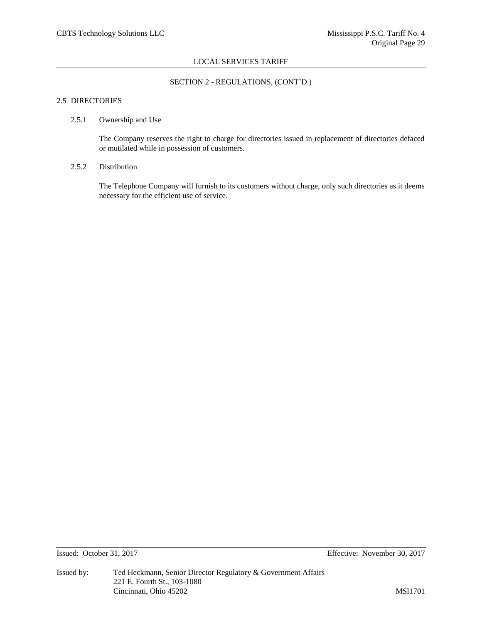## SECTION 2 - REGULATIONS, (CONT'D.)

## 2.5 DIRECTORIES

#### 2.5.1 Ownership and Use

The Company reserves the right to charge for directories issued in replacement of directories defaced or mutilated while in possession of customers.

#### 2.5.2 Distribution

The Telephone Company will furnish to its customers without charge, only such directories as it deems necessary for the efficient use of service.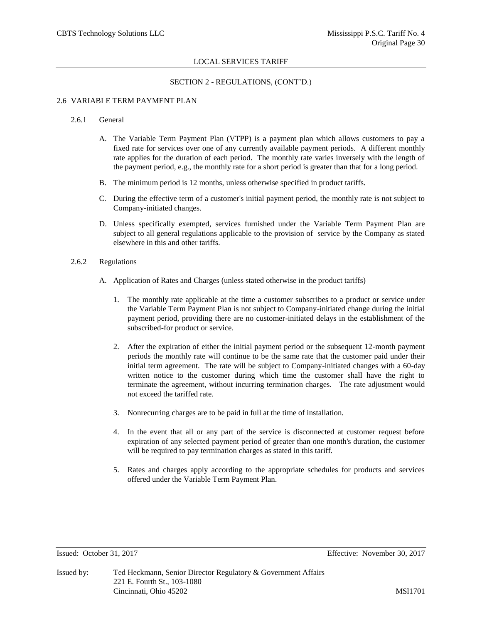## SECTION 2 - REGULATIONS, (CONT'D.)

#### 2.6 VARIABLE TERM PAYMENT PLAN

#### 2.6.1 General

- A. The Variable Term Payment Plan (VTPP) is a payment plan which allows customers to pay a fixed rate for services over one of any currently available payment periods. A different monthly rate applies for the duration of each period. The monthly rate varies inversely with the length of the payment period, e.g., the monthly rate for a short period is greater than that for a long period.
- B. The minimum period is 12 months, unless otherwise specified in product tariffs.
- C. During the effective term of a customer's initial payment period, the monthly rate is not subject to Company-initiated changes.
- D. Unless specifically exempted, services furnished under the Variable Term Payment Plan are subject to all general regulations applicable to the provision of service by the Company as stated elsewhere in this and other tariffs.
- 2.6.2 Regulations
	- A. Application of Rates and Charges (unless stated otherwise in the product tariffs)
		- 1. The monthly rate applicable at the time a customer subscribes to a product or service under the Variable Term Payment Plan is not subject to Company-initiated change during the initial payment period, providing there are no customer-initiated delays in the establishment of the subscribed-for product or service.
		- 2. After the expiration of either the initial payment period or the subsequent 12-month payment periods the monthly rate will continue to be the same rate that the customer paid under their initial term agreement. The rate will be subject to Company-initiated changes with a 60-day written notice to the customer during which time the customer shall have the right to terminate the agreement, without incurring termination charges. The rate adjustment would not exceed the tariffed rate.
		- 3. Nonrecurring charges are to be paid in full at the time of installation.
		- 4. In the event that all or any part of the service is disconnected at customer request before expiration of any selected payment period of greater than one month's duration, the customer will be required to pay termination charges as stated in this tariff.
		- 5. Rates and charges apply according to the appropriate schedules for products and services offered under the Variable Term Payment Plan.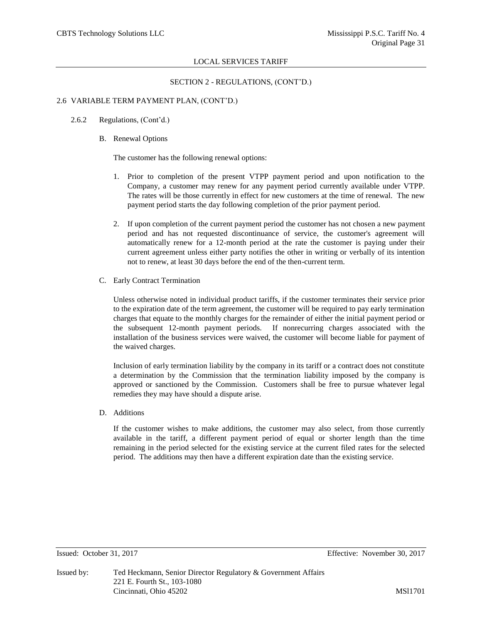### SECTION 2 - REGULATIONS, (CONT'D.)

#### 2.6 VARIABLE TERM PAYMENT PLAN, (CONT'D.)

- 2.6.2 Regulations, (Cont'd.)
	- B. Renewal Options

The customer has the following renewal options:

- 1. Prior to completion of the present VTPP payment period and upon notification to the Company, a customer may renew for any payment period currently available under VTPP. The rates will be those currently in effect for new customers at the time of renewal. The new payment period starts the day following completion of the prior payment period.
- 2. If upon completion of the current payment period the customer has not chosen a new payment period and has not requested discontinuance of service, the customer's agreement will automatically renew for a 12-month period at the rate the customer is paying under their current agreement unless either party notifies the other in writing or verbally of its intention not to renew, at least 30 days before the end of the then-current term.
- C. Early Contract Termination

Unless otherwise noted in individual product tariffs, if the customer terminates their service prior to the expiration date of the term agreement, the customer will be required to pay early termination charges that equate to the monthly charges for the remainder of either the initial payment period or the subsequent 12-month payment periods. If nonrecurring charges associated with the installation of the business services were waived, the customer will become liable for payment of the waived charges.

Inclusion of early termination liability by the company in its tariff or a contract does not constitute a determination by the Commission that the termination liability imposed by the company is approved or sanctioned by the Commission. Customers shall be free to pursue whatever legal remedies they may have should a dispute arise.

D. Additions

If the customer wishes to make additions, the customer may also select, from those currently available in the tariff, a different payment period of equal or shorter length than the time remaining in the period selected for the existing service at the current filed rates for the selected period. The additions may then have a different expiration date than the existing service.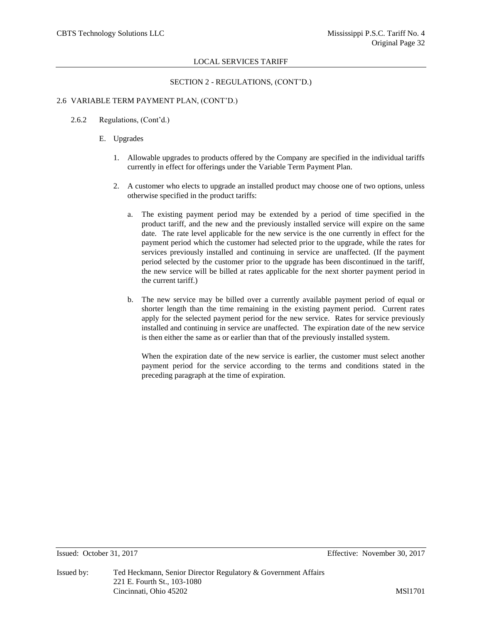# SECTION 2 - REGULATIONS, (CONT'D.)

## 2.6 VARIABLE TERM PAYMENT PLAN, (CONT'D.)

- 2.6.2 Regulations, (Cont'd.)
	- E. Upgrades
		- 1. Allowable upgrades to products offered by the Company are specified in the individual tariffs currently in effect for offerings under the Variable Term Payment Plan.
		- 2. A customer who elects to upgrade an installed product may choose one of two options, unless otherwise specified in the product tariffs:
			- a. The existing payment period may be extended by a period of time specified in the product tariff, and the new and the previously installed service will expire on the same date. The rate level applicable for the new service is the one currently in effect for the payment period which the customer had selected prior to the upgrade, while the rates for services previously installed and continuing in service are unaffected. (If the payment period selected by the customer prior to the upgrade has been discontinued in the tariff, the new service will be billed at rates applicable for the next shorter payment period in the current tariff.)
			- b. The new service may be billed over a currently available payment period of equal or shorter length than the time remaining in the existing payment period. Current rates apply for the selected payment period for the new service. Rates for service previously installed and continuing in service are unaffected. The expiration date of the new service is then either the same as or earlier than that of the previously installed system.

When the expiration date of the new service is earlier, the customer must select another payment period for the service according to the terms and conditions stated in the preceding paragraph at the time of expiration.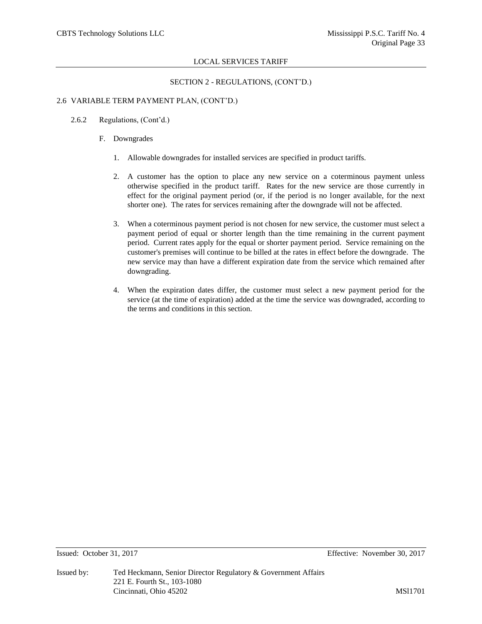# SECTION 2 - REGULATIONS, (CONT'D.)

## 2.6 VARIABLE TERM PAYMENT PLAN, (CONT'D.)

- 2.6.2 Regulations, (Cont'd.)
	- F. Downgrades
		- 1. Allowable downgrades for installed services are specified in product tariffs.
		- 2. A customer has the option to place any new service on a coterminous payment unless otherwise specified in the product tariff. Rates for the new service are those currently in effect for the original payment period (or, if the period is no longer available, for the next shorter one). The rates for services remaining after the downgrade will not be affected.
		- 3. When a coterminous payment period is not chosen for new service, the customer must select a payment period of equal or shorter length than the time remaining in the current payment period. Current rates apply for the equal or shorter payment period. Service remaining on the customer's premises will continue to be billed at the rates in effect before the downgrade. The new service may than have a different expiration date from the service which remained after downgrading.
		- 4. When the expiration dates differ, the customer must select a new payment period for the service (at the time of expiration) added at the time the service was downgraded, according to the terms and conditions in this section.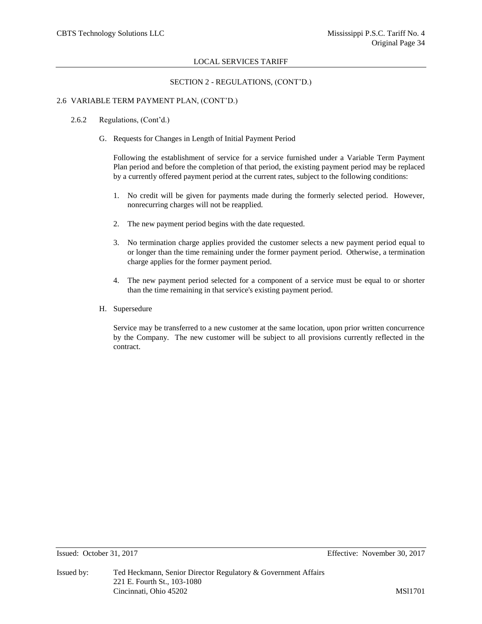## SECTION 2 - REGULATIONS, (CONT'D.)

#### 2.6 VARIABLE TERM PAYMENT PLAN, (CONT'D.)

- 2.6.2 Regulations, (Cont'd.)
	- G. Requests for Changes in Length of Initial Payment Period

Following the establishment of service for a service furnished under a Variable Term Payment Plan period and before the completion of that period, the existing payment period may be replaced by a currently offered payment period at the current rates, subject to the following conditions:

- 1. No credit will be given for payments made during the formerly selected period. However, nonrecurring charges will not be reapplied.
- 2. The new payment period begins with the date requested.
- 3. No termination charge applies provided the customer selects a new payment period equal to or longer than the time remaining under the former payment period. Otherwise, a termination charge applies for the former payment period.
- 4. The new payment period selected for a component of a service must be equal to or shorter than the time remaining in that service's existing payment period.
- H. Supersedure

Service may be transferred to a new customer at the same location, upon prior written concurrence by the Company. The new customer will be subject to all provisions currently reflected in the contract.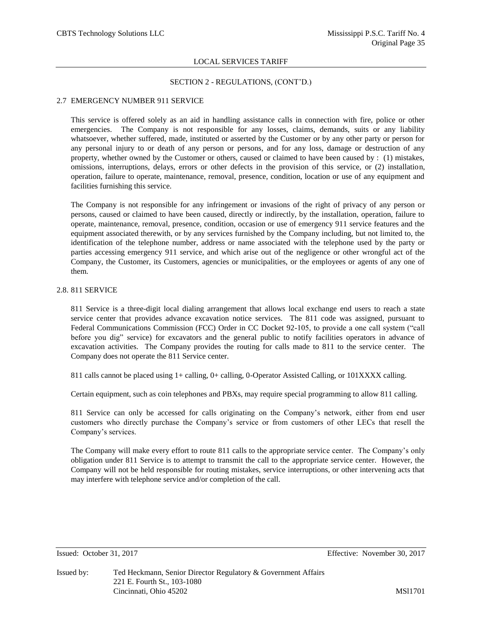#### SECTION 2 - REGULATIONS, (CONT'D.)

#### 2.7 EMERGENCY NUMBER 911 SERVICE

This service is offered solely as an aid in handling assistance calls in connection with fire, police or other emergencies. The Company is not responsible for any losses, claims, demands, suits or any liability whatsoever, whether suffered, made, instituted or asserted by the Customer or by any other party or person for any personal injury to or death of any person or persons, and for any loss, damage or destruction of any property, whether owned by the Customer or others, caused or claimed to have been caused by : (1) mistakes, omissions, interruptions, delays, errors or other defects in the provision of this service, or (2) installation, operation, failure to operate, maintenance, removal, presence, condition, location or use of any equipment and facilities furnishing this service.

The Company is not responsible for any infringement or invasions of the right of privacy of any person or persons, caused or claimed to have been caused, directly or indirectly, by the installation, operation, failure to operate, maintenance, removal, presence, condition, occasion or use of emergency 911 service features and the equipment associated therewith, or by any services furnished by the Company including, but not limited to, the identification of the telephone number, address or name associated with the telephone used by the party or parties accessing emergency 911 service, and which arise out of the negligence or other wrongful act of the Company, the Customer, its Customers, agencies or municipalities, or the employees or agents of any one of them.

#### 2.8. 811 SERVICE

811 Service is a three-digit local dialing arrangement that allows local exchange end users to reach a state service center that provides advance excavation notice services. The 811 code was assigned, pursuant to Federal Communications Commission (FCC) Order in CC Docket 92-105, to provide a one call system ("call before you dig" service) for excavators and the general public to notify facilities operators in advance of excavation activities. The Company provides the routing for calls made to 811 to the service center. The Company does not operate the 811 Service center.

811 calls cannot be placed using 1+ calling, 0+ calling, 0-Operator Assisted Calling, or 101XXXX calling.

Certain equipment, such as coin telephones and PBXs, may require special programming to allow 811 calling.

811 Service can only be accessed for calls originating on the Company's network, either from end user customers who directly purchase the Company's service or from customers of other LECs that resell the Company's services.

The Company will make every effort to route 811 calls to the appropriate service center. The Company's only obligation under 811 Service is to attempt to transmit the call to the appropriate service center. However, the Company will not be held responsible for routing mistakes, service interruptions, or other intervening acts that may interfere with telephone service and/or completion of the call.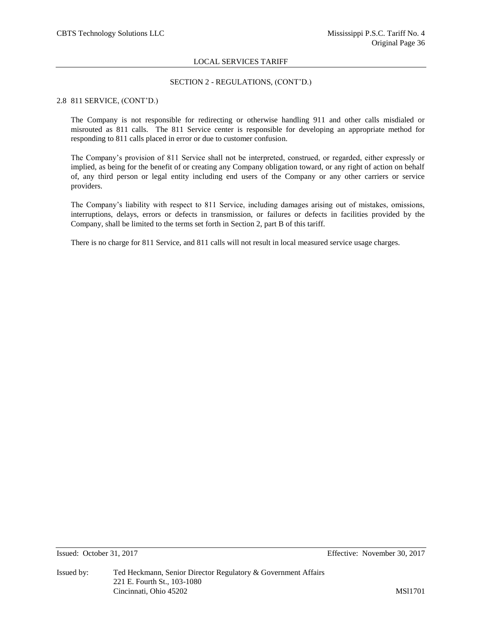## SECTION 2 - REGULATIONS, (CONT'D.)

#### 2.8 811 SERVICE, (CONT'D.)

The Company is not responsible for redirecting or otherwise handling 911 and other calls misdialed or misrouted as 811 calls. The 811 Service center is responsible for developing an appropriate method for responding to 811 calls placed in error or due to customer confusion.

The Company's provision of 811 Service shall not be interpreted, construed, or regarded, either expressly or implied, as being for the benefit of or creating any Company obligation toward, or any right of action on behalf of, any third person or legal entity including end users of the Company or any other carriers or service providers.

The Company's liability with respect to 811 Service, including damages arising out of mistakes, omissions, interruptions, delays, errors or defects in transmission, or failures or defects in facilities provided by the Company, shall be limited to the terms set forth in Section 2, part B of this tariff.

There is no charge for 811 Service, and 811 calls will not result in local measured service usage charges.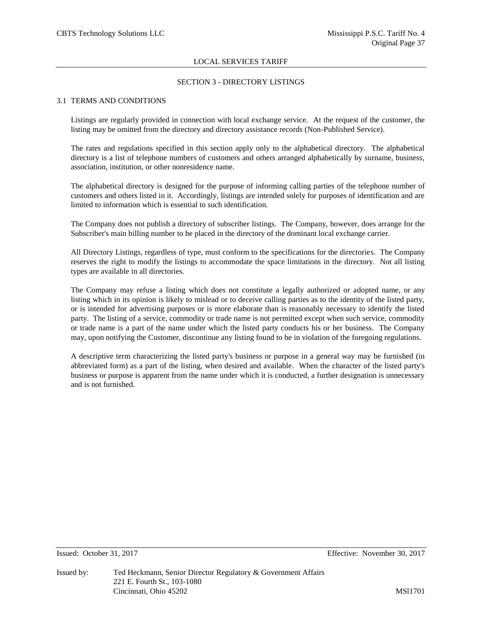#### SECTION 3 - DIRECTORY LISTINGS

#### 3.1 TERMS AND CONDITIONS

Listings are regularly provided in connection with local exchange service. At the request of the customer, the listing may be omitted from the directory and directory assistance records (Non-Published Service).

The rates and regulations specified in this section apply only to the alphabetical directory. The alphabetical directory is a list of telephone numbers of customers and others arranged alphabetically by surname, business, association, institution, or other nonresidence name.

The alphabetical directory is designed for the purpose of informing calling parties of the telephone number of customers and others listed in it. Accordingly, listings are intended solely for purposes of identification and are limited to information which is essential to such identification.

The Company does not publish a directory of subscriber listings. The Company, however, does arrange for the Subscriber's main billing number to be placed in the directory of the dominant local exchange carrier.

All Directory Listings, regardless of type, must conform to the specifications for the directories. The Company reserves the right to modify the listings to accommodate the space limitations in the directory. Not all listing types are available in all directories.

The Company may refuse a listing which does not constitute a legally authorized or adopted name, or any listing which in its opinion is likely to mislead or to deceive calling parties as to the identity of the listed party, or is intended for advertising purposes or is more elaborate than is reasonably necessary to identify the listed party. The listing of a service, commodity or trade name is not permitted except when such service, commodity or trade name is a part of the name under which the listed party conducts his or her business. The Company may, upon notifying the Customer, discontinue any listing found to be in violation of the foregoing regulations.

A descriptive term characterizing the listed party's business or purpose in a general way may be furnished (in abbreviated form) as a part of the listing, when desired and available. When the character of the listed party's business or purpose is apparent from the name under which it is conducted, a further designation is unnecessary and is not furnished.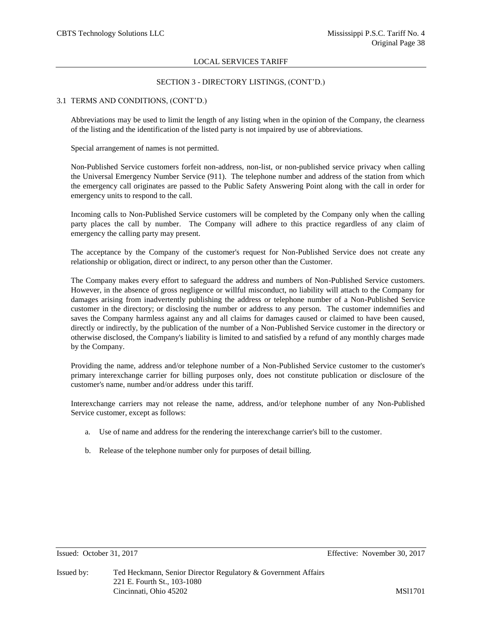## SECTION 3 - DIRECTORY LISTINGS, (CONT'D.)

## 3.1 TERMS AND CONDITIONS, (CONT'D.)

Abbreviations may be used to limit the length of any listing when in the opinion of the Company, the clearness of the listing and the identification of the listed party is not impaired by use of abbreviations.

Special arrangement of names is not permitted.

Non-Published Service customers forfeit non-address, non-list, or non-published service privacy when calling the Universal Emergency Number Service (911). The telephone number and address of the station from which the emergency call originates are passed to the Public Safety Answering Point along with the call in order for emergency units to respond to the call.

Incoming calls to Non-Published Service customers will be completed by the Company only when the calling party places the call by number. The Company will adhere to this practice regardless of any claim of emergency the calling party may present.

The acceptance by the Company of the customer's request for Non-Published Service does not create any relationship or obligation, direct or indirect, to any person other than the Customer.

The Company makes every effort to safeguard the address and numbers of Non-Published Service customers. However, in the absence of gross negligence or willful misconduct, no liability will attach to the Company for damages arising from inadvertently publishing the address or telephone number of a Non-Published Service customer in the directory; or disclosing the number or address to any person. The customer indemnifies and saves the Company harmless against any and all claims for damages caused or claimed to have been caused, directly or indirectly, by the publication of the number of a Non-Published Service customer in the directory or otherwise disclosed, the Company's liability is limited to and satisfied by a refund of any monthly charges made by the Company.

Providing the name, address and/or telephone number of a Non-Published Service customer to the customer's primary interexchange carrier for billing purposes only, does not constitute publication or disclosure of the customer's name, number and/or address under this tariff.

Interexchange carriers may not release the name, address, and/or telephone number of any Non-Published Service customer, except as follows:

- a. Use of name and address for the rendering the interexchange carrier's bill to the customer.
- b. Release of the telephone number only for purposes of detail billing.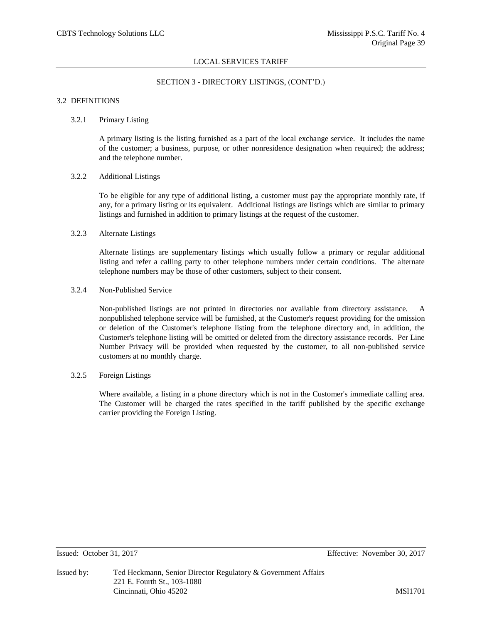## SECTION 3 - DIRECTORY LISTINGS, (CONT'D.)

#### 3.2 DEFINITIONS

## 3.2.1 Primary Listing

A primary listing is the listing furnished as a part of the local exchange service. It includes the name of the customer; a business, purpose, or other nonresidence designation when required; the address; and the telephone number.

#### 3.2.2 Additional Listings

To be eligible for any type of additional listing, a customer must pay the appropriate monthly rate, if any, for a primary listing or its equivalent. Additional listings are listings which are similar to primary listings and furnished in addition to primary listings at the request of the customer.

### 3.2.3 Alternate Listings

Alternate listings are supplementary listings which usually follow a primary or regular additional listing and refer a calling party to other telephone numbers under certain conditions. The alternate telephone numbers may be those of other customers, subject to their consent.

## 3.2.4 Non-Published Service

Non-published listings are not printed in directories nor available from directory assistance. A nonpublished telephone service will be furnished, at the Customer's request providing for the omission or deletion of the Customer's telephone listing from the telephone directory and, in addition, the Customer's telephone listing will be omitted or deleted from the directory assistance records. Per Line Number Privacy will be provided when requested by the customer, to all non-published service customers at no monthly charge.

## 3.2.5 Foreign Listings

Where available, a listing in a phone directory which is not in the Customer's immediate calling area. The Customer will be charged the rates specified in the tariff published by the specific exchange carrier providing the Foreign Listing.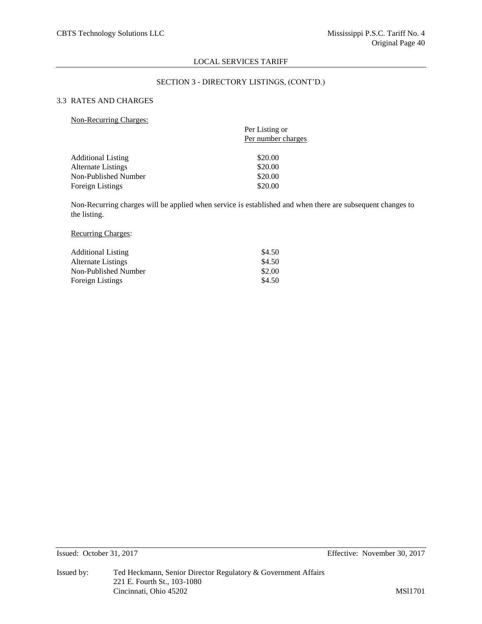## SECTION 3 - DIRECTORY LISTINGS, (CONT'D.)

# 3.3 RATES AND CHARGES

| <b>Non-Recurring Charges:</b> |  |
|-------------------------------|--|
|                               |  |

|                           | Per Listing or     |
|---------------------------|--------------------|
|                           | Per number charges |
| <b>Additional Listing</b> | \$20.00            |
| <b>Alternate Listings</b> | \$20.00            |
| Non-Published Number      | \$20.00            |
| Foreign Listings          | \$20.00            |

Non-Recurring charges will be applied when service is established and when there are subsequent changes to the listing.

# Recurring Charges:

| <b>Additional Listing</b> | \$4.50 |
|---------------------------|--------|
| Alternate Listings        | \$4.50 |
| Non-Published Number      | \$2.00 |
| Foreign Listings          | \$4.50 |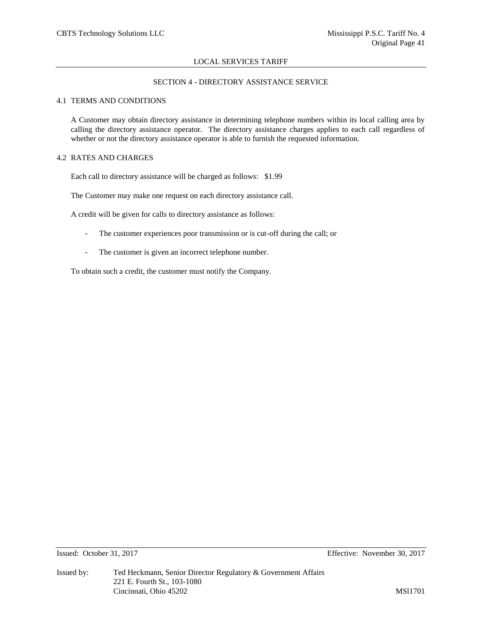# SECTION 4 - DIRECTORY ASSISTANCE SERVICE

## 4.1 TERMS AND CONDITIONS

A Customer may obtain directory assistance in determining telephone numbers within its local calling area by calling the directory assistance operator. The directory assistance charges applies to each call regardless of whether or not the directory assistance operator is able to furnish the requested information.

## 4.2 RATES AND CHARGES

Each call to directory assistance will be charged as follows: \$1.99

The Customer may make one request on each directory assistance call.

A credit will be given for calls to directory assistance as follows:

- The customer experiences poor transmission or is cut-off during the call; or
- The customer is given an incorrect telephone number.

To obtain such a credit, the customer must notify the Company.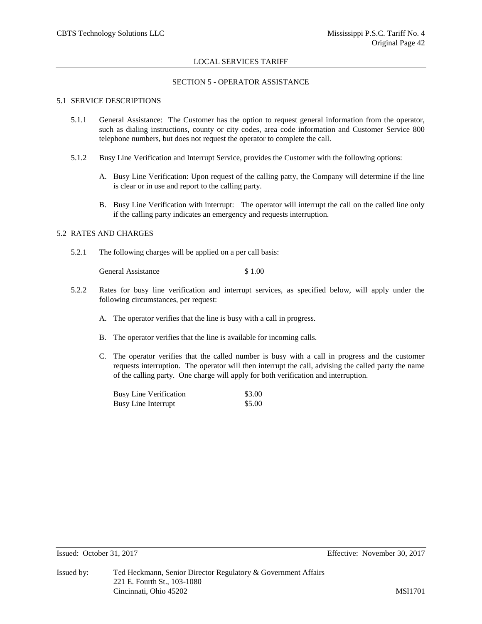### SECTION 5 - OPERATOR ASSISTANCE

#### 5.1 SERVICE DESCRIPTIONS

- 5.1.1 General Assistance: The Customer has the option to request general information from the operator, such as dialing instructions, county or city codes, area code information and Customer Service 800 telephone numbers, but does not request the operator to complete the call.
- 5.1.2 Busy Line Verification and Interrupt Service, provides the Customer with the following options:
	- A. Busy Line Verification: Upon request of the calling patty, the Company will determine if the line is clear or in use and report to the calling party.
	- B. Busy Line Verification with interrupt: The operator will interrupt the call on the called line only if the calling party indicates an emergency and requests interruption.

#### 5.2 RATES AND CHARGES

5.2.1 The following charges will be applied on a per call basis:

General Assistance \$ 1.00

- 5.2.2 Rates for busy line verification and interrupt services, as specified below, will apply under the following circumstances, per request:
	- A. The operator verifies that the line is busy with a call in progress.
	- B. The operator verifies that the line is available for incoming calls.
	- C. The operator verifies that the called number is busy with a call in progress and the customer requests interruption. The operator will then interrupt the call, advising the called party the name of the calling party. One charge will apply for both verification and interruption.

| <b>Busy Line Verification</b> | \$3.00 |
|-------------------------------|--------|
| <b>Busy Line Interrupt</b>    | \$5.00 |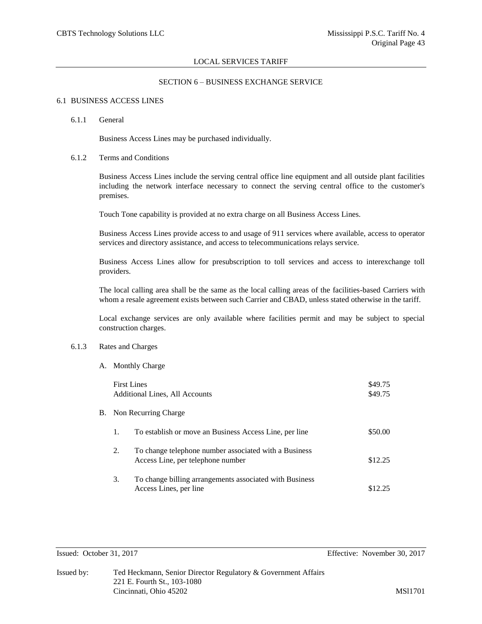#### SECTION 6 – BUSINESS EXCHANGE SERVICE

#### 6.1 BUSINESS ACCESS LINES

#### 6.1.1 General

Business Access Lines may be purchased individually.

#### 6.1.2 Terms and Conditions

Business Access Lines include the serving central office line equipment and all outside plant facilities including the network interface necessary to connect the serving central office to the customer's premises.

Touch Tone capability is provided at no extra charge on all Business Access Lines.

Business Access Lines provide access to and usage of 911 services where available, access to operator services and directory assistance, and access to telecommunications relays service.

Business Access Lines allow for presubscription to toll services and access to interexchange toll providers.

The local calling area shall be the same as the local calling areas of the facilities-based Carriers with whom a resale agreement exists between such Carrier and CBAD, unless stated otherwise in the tariff.

Local exchange services are only available where facilities permit and may be subject to special construction charges.

# 6.1.3 Rates and Charges

A. Monthly Charge

|    | <b>First Lines</b> | Additional Lines, All Accounts                                                             | \$49.75<br>\$49.75 |
|----|--------------------|--------------------------------------------------------------------------------------------|--------------------|
| В. |                    | Non Recurring Charge                                                                       |                    |
|    | 1.                 | To establish or move an Business Access Line, per line                                     | \$50.00            |
|    | 2.                 | To change telephone number associated with a Business<br>Access Line, per telephone number | \$12.25            |
|    | 3.                 | To change billing arrangements associated with Business<br>Access Lines, per line          | \$12.25            |

Issued: October 31, 2017 Effective: November 30, 2017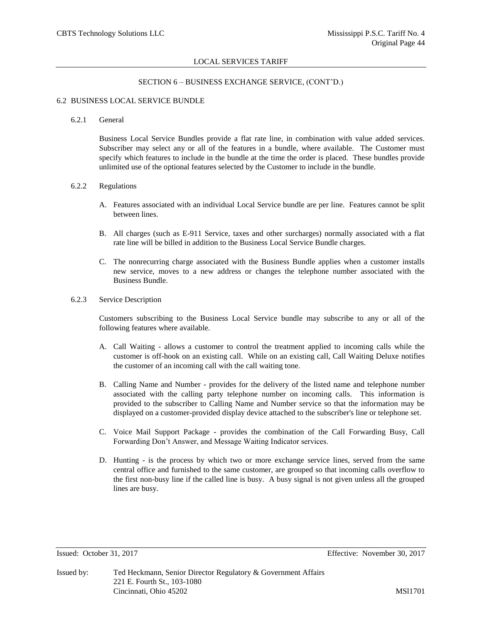#### SECTION 6 – BUSINESS EXCHANGE SERVICE, (CONT'D.)

#### 6.2 BUSINESS LOCAL SERVICE BUNDLE

#### 6.2.1 General

Business Local Service Bundles provide a flat rate line, in combination with value added services. Subscriber may select any or all of the features in a bundle, where available. The Customer must specify which features to include in the bundle at the time the order is placed. These bundles provide unlimited use of the optional features selected by the Customer to include in the bundle.

#### 6.2.2 Regulations

- A. Features associated with an individual Local Service bundle are per line. Features cannot be split between lines.
- B. All charges (such as E-911 Service, taxes and other surcharges) normally associated with a flat rate line will be billed in addition to the Business Local Service Bundle charges.
- C. The nonrecurring charge associated with the Business Bundle applies when a customer installs new service, moves to a new address or changes the telephone number associated with the Business Bundle.

#### 6.2.3 Service Description

Customers subscribing to the Business Local Service bundle may subscribe to any or all of the following features where available.

- A. Call Waiting allows a customer to control the treatment applied to incoming calls while the customer is off-hook on an existing call. While on an existing call, Call Waiting Deluxe notifies the customer of an incoming call with the call waiting tone.
- B. Calling Name and Number provides for the delivery of the listed name and telephone number associated with the calling party telephone number on incoming calls. This information is provided to the subscriber to Calling Name and Number service so that the information may be displayed on a customer-provided display device attached to the subscriber's line or telephone set.
- C. Voice Mail Support Package provides the combination of the Call Forwarding Busy, Call Forwarding Don't Answer, and Message Waiting Indicator services.
- D. Hunting is the process by which two or more exchange service lines, served from the same central office and furnished to the same customer, are grouped so that incoming calls overflow to the first non-busy line if the called line is busy. A busy signal is not given unless all the grouped lines are busy.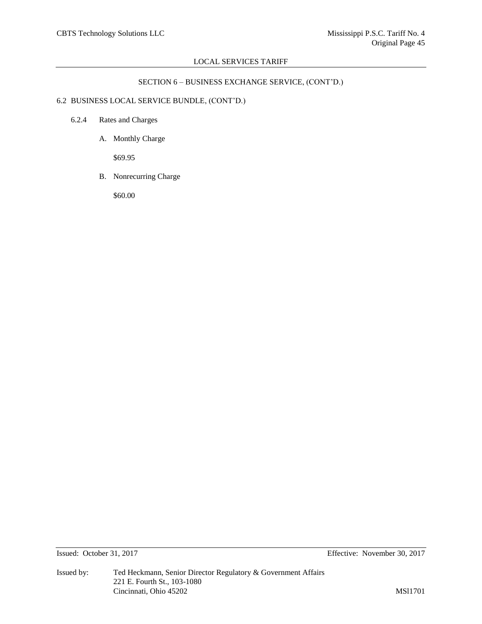## SECTION 6 – BUSINESS EXCHANGE SERVICE, (CONT'D.)

# 6.2 BUSINESS LOCAL SERVICE BUNDLE, (CONT'D.)

- 6.2.4 Rates and Charges
	- A. Monthly Charge

\$69.95

B. Nonrecurring Charge

\$60.00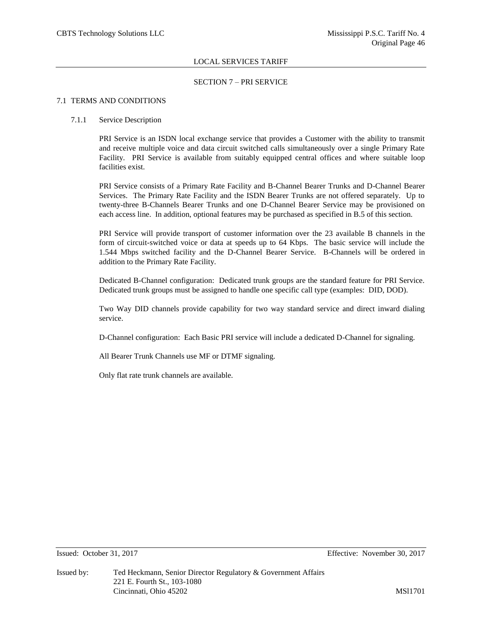#### SECTION 7 – PRI SERVICE

## 7.1 TERMS AND CONDITIONS

#### 7.1.1 Service Description

PRI Service is an ISDN local exchange service that provides a Customer with the ability to transmit and receive multiple voice and data circuit switched calls simultaneously over a single Primary Rate Facility. PRI Service is available from suitably equipped central offices and where suitable loop facilities exist.

PRI Service consists of a Primary Rate Facility and B-Channel Bearer Trunks and D-Channel Bearer Services. The Primary Rate Facility and the ISDN Bearer Trunks are not offered separately. Up to twenty-three B-Channels Bearer Trunks and one D-Channel Bearer Service may be provisioned on each access line. In addition, optional features may be purchased as specified in B.5 of this section.

PRI Service will provide transport of customer information over the 23 available B channels in the form of circuit-switched voice or data at speeds up to 64 Kbps. The basic service will include the 1.544 Mbps switched facility and the D-Channel Bearer Service. B-Channels will be ordered in addition to the Primary Rate Facility.

Dedicated B-Channel configuration: Dedicated trunk groups are the standard feature for PRI Service. Dedicated trunk groups must be assigned to handle one specific call type (examples: DID, DOD).

Two Way DID channels provide capability for two way standard service and direct inward dialing service.

D-Channel configuration: Each Basic PRI service will include a dedicated D-Channel for signaling.

All Bearer Trunk Channels use MF or DTMF signaling.

Only flat rate trunk channels are available.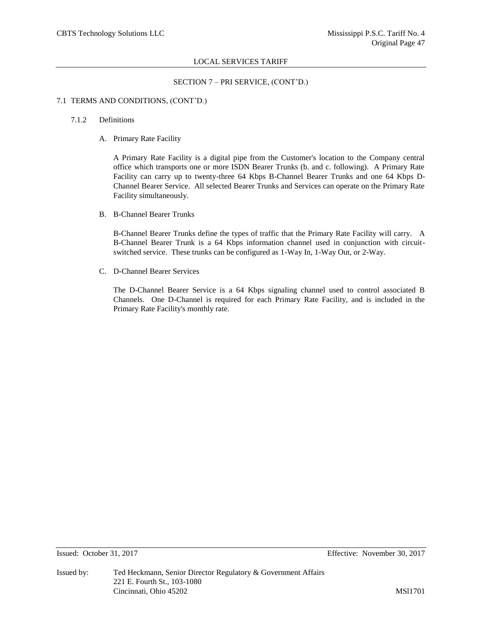#### SECTION 7 – PRI SERVICE, (CONT'D.)

#### 7.1 TERMS AND CONDITIONS, (CONT'D.)

#### 7.1.2 Definitions

A. Primary Rate Facility

A Primary Rate Facility is a digital pipe from the Customer's location to the Company central office which transports one or more ISDN Bearer Trunks (b. and c. following). A Primary Rate Facility can carry up to twenty-three 64 Kbps B-Channel Bearer Trunks and one 64 Kbps D-Channel Bearer Service. All selected Bearer Trunks and Services can operate on the Primary Rate Facility simultaneously.

B. B-Channel Bearer Trunks

B-Channel Bearer Trunks define the types of traffic that the Primary Rate Facility will carry. A B-Channel Bearer Trunk is a 64 Kbps information channel used in conjunction with circuitswitched service. These trunks can be configured as 1-Way In, 1-Way Out, or 2-Way.

C. D-Channel Bearer Services

The D-Channel Bearer Service is a 64 Kbps signaling channel used to control associated B Channels. One D-Channel is required for each Primary Rate Facility, and is included in the Primary Rate Facility's monthly rate.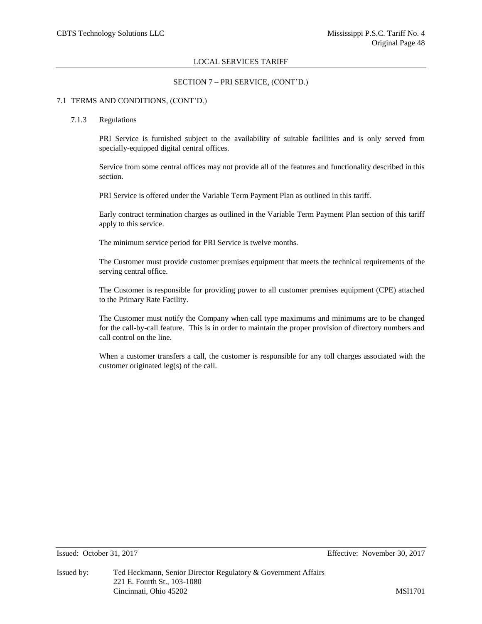### SECTION 7 – PRI SERVICE, (CONT'D.)

#### 7.1 TERMS AND CONDITIONS, (CONT'D.)

#### 7.1.3 Regulations

PRI Service is furnished subject to the availability of suitable facilities and is only served from specially-equipped digital central offices.

Service from some central offices may not provide all of the features and functionality described in this section.

PRI Service is offered under the Variable Term Payment Plan as outlined in this tariff.

Early contract termination charges as outlined in the Variable Term Payment Plan section of this tariff apply to this service.

The minimum service period for PRI Service is twelve months.

The Customer must provide customer premises equipment that meets the technical requirements of the serving central office.

The Customer is responsible for providing power to all customer premises equipment (CPE) attached to the Primary Rate Facility.

The Customer must notify the Company when call type maximums and minimums are to be changed for the call-by-call feature. This is in order to maintain the proper provision of directory numbers and call control on the line.

When a customer transfers a call, the customer is responsible for any toll charges associated with the customer originated leg(s) of the call.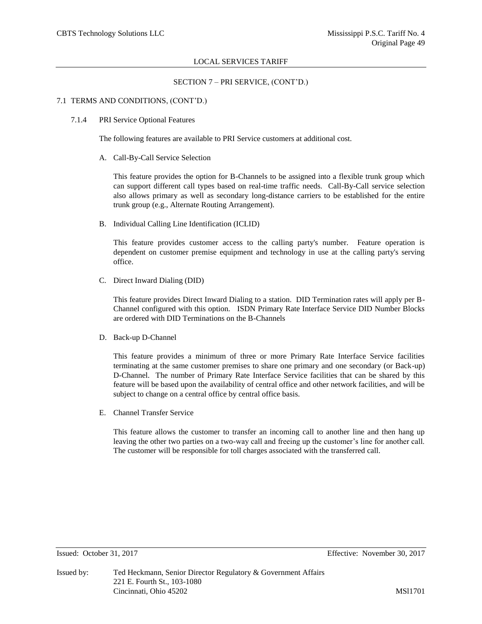### SECTION 7 – PRI SERVICE, (CONT'D.)

#### 7.1 TERMS AND CONDITIONS, (CONT'D.)

#### 7.1.4 PRI Service Optional Features

The following features are available to PRI Service customers at additional cost.

A. Call-By-Call Service Selection

This feature provides the option for B-Channels to be assigned into a flexible trunk group which can support different call types based on real-time traffic needs. Call-By-Call service selection also allows primary as well as secondary long-distance carriers to be established for the entire trunk group (e.g., Alternate Routing Arrangement).

B. Individual Calling Line Identification (ICLID)

This feature provides customer access to the calling party's number. Feature operation is dependent on customer premise equipment and technology in use at the calling party's serving office.

C. Direct Inward Dialing (DID)

This feature provides Direct Inward Dialing to a station. DID Termination rates will apply per B-Channel configured with this option. ISDN Primary Rate Interface Service DID Number Blocks are ordered with DID Terminations on the B-Channels

D. Back-up D-Channel

This feature provides a minimum of three or more Primary Rate Interface Service facilities terminating at the same customer premises to share one primary and one secondary (or Back-up) D-Channel. The number of Primary Rate Interface Service facilities that can be shared by this feature will be based upon the availability of central office and other network facilities, and will be subject to change on a central office by central office basis.

E. Channel Transfer Service

This feature allows the customer to transfer an incoming call to another line and then hang up leaving the other two parties on a two-way call and freeing up the customer's line for another call. The customer will be responsible for toll charges associated with the transferred call.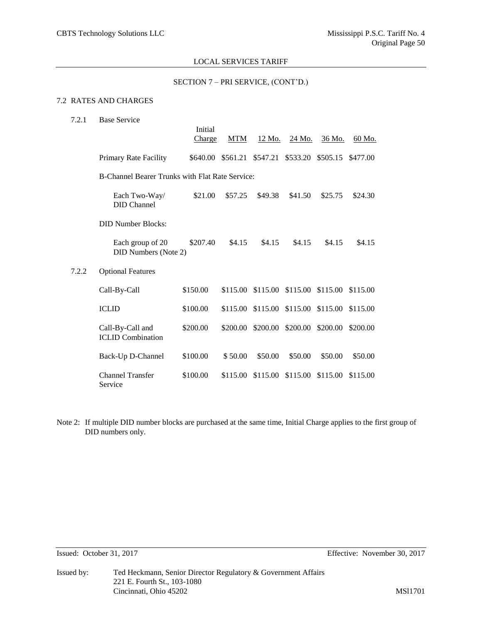## SECTION 7 – PRI SERVICE, (CONT'D.)

# 7.2 RATES AND CHARGES

| 7.2.1 | <b>Base Service</b>                             | Initial<br><b>Charge</b> | MTM      | 12 Mo.   | 24 Mo.                     | 36 Mo.                     | 60 Mo.   |
|-------|-------------------------------------------------|--------------------------|----------|----------|----------------------------|----------------------------|----------|
|       | Primary Rate Facility                           | \$640.00                 | \$561.21 | \$547.21 |                            | \$533.20 \$505.15 \$477.00 |          |
|       | B-Channel Bearer Trunks with Flat Rate Service: |                          |          |          |                            |                            |          |
|       | Each Two-Way/<br><b>DID</b> Channel             | \$21.00                  | \$57.25  | \$49.38  | \$41.50                    | \$25.75                    | \$24.30  |
|       | <b>DID Number Blocks:</b>                       |                          |          |          |                            |                            |          |
|       | Each group of 20<br><b>DID Numbers (Note 2)</b> | \$207.40                 | \$4.15   | \$4.15   | \$4.15                     | \$4.15                     | \$4.15   |
| 7.2.2 | <b>Optional Features</b>                        |                          |          |          |                            |                            |          |
|       | Call-By-Call                                    | \$150.00                 | \$115.00 |          | \$115.00 \$115.00 \$115.00 |                            | \$115.00 |
|       | <b>ICLID</b>                                    | \$100.00                 | \$115.00 |          | \$115.00 \$115.00 \$115.00 |                            | \$115.00 |
|       | Call-By-Call and<br><b>ICLID</b> Combination    | \$200.00                 | \$200.00 | \$200.00 | \$200.00                   | \$200.00                   | \$200.00 |
|       | Back-Up D-Channel                               | \$100.00                 | \$50.00  | \$50.00  | \$50.00                    | \$50.00                    | \$50.00  |
|       | <b>Channel Transfer</b><br>Service              | \$100.00                 | \$115.00 | \$115.00 | \$115.00                   | \$115.00                   | \$115.00 |

Note 2: If multiple DID number blocks are purchased at the same time, Initial Charge applies to the first group of DID numbers only.

Issued: October 31, 2017 Effective: November 30, 2017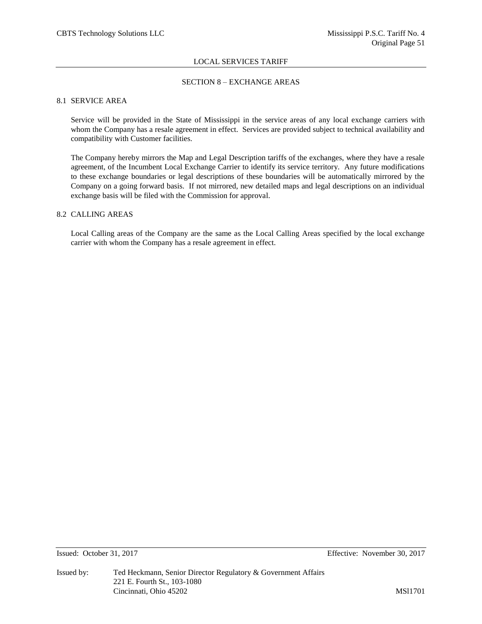## SECTION 8 – EXCHANGE AREAS

## 8.1 SERVICE AREA

Service will be provided in the State of Mississippi in the service areas of any local exchange carriers with whom the Company has a resale agreement in effect. Services are provided subject to technical availability and compatibility with Customer facilities.

The Company hereby mirrors the Map and Legal Description tariffs of the exchanges, where they have a resale agreement, of the Incumbent Local Exchange Carrier to identify its service territory. Any future modifications to these exchange boundaries or legal descriptions of these boundaries will be automatically mirrored by the Company on a going forward basis. If not mirrored, new detailed maps and legal descriptions on an individual exchange basis will be filed with the Commission for approval.

## 8.2 CALLING AREAS

Local Calling areas of the Company are the same as the Local Calling Areas specified by the local exchange carrier with whom the Company has a resale agreement in effect.